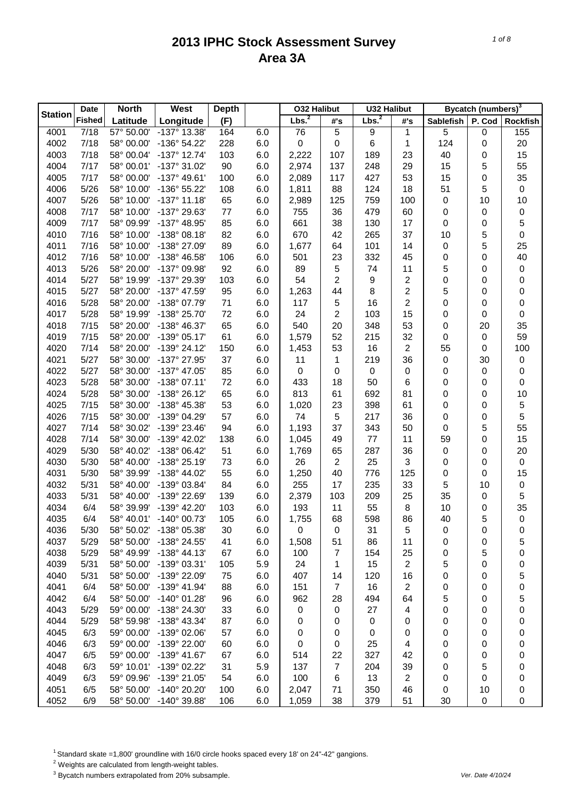|                | <b>Date</b>   | <b>North</b>             | West                  | <b>Depth</b> |     | <b>032 Halibut</b> |                | <b>U32 Halibut</b> |                |           | Bycatch (numbers) <sup>3</sup> |                  |
|----------------|---------------|--------------------------|-----------------------|--------------|-----|--------------------|----------------|--------------------|----------------|-----------|--------------------------------|------------------|
| <b>Station</b> | <b>Fished</b> | Latitude                 | Longitude             | (F)          |     | Lbs. <sup>2</sup>  | #'s            | Lbs. <sup>2</sup>  | #'s            | Sablefish | P. Cod                         | <b>Rockfish</b>  |
| 4001           | 7/18          | 57° 50.00'               | $-137°$ 13.38'        | 164          | 6.0 | 76                 | 5              | 9                  | 1              | 5         | 0                              | 155              |
| 4002           | 7/18          | 58° 00.00'               | -136° 54.22'          | 228          | 6.0 | 0                  | $\pmb{0}$      | 6                  | 1              | 124       | 0                              | 20               |
| 4003           | 7/18          | 58° 00.04'               | $-137^{\circ}$ 12.74' | 103          | 6.0 | 2,222              | 107            | 189                | 23             | 40        | 0                              | 15               |
| 4004           | 7/17          | 58° 00.01'               | -137° 31.02'          | 90           | 6.0 | 2,974              | 137            | 248                | 29             | 15        | 5                              | 55               |
| 4005           | 7/17          | 58° 00.00'               | $-137^{\circ}$ 49.61' | 100          | 6.0 | 2,089              | 117            | 427                | 53             | 15        | 0                              | 35               |
| 4006           | 5/26          | 58° 10.00'               | -136° 55.22'          | 108          | 6.0 | 1,811              | 88             | 124                | 18             | 51        | 5                              | $\pmb{0}$        |
| 4007           | 5/26          | 58° 10.00'               | $-137°$ 11.18'        | 65           | 6.0 | 2,989              | 125            | 759                | 100            | 0         | 10                             | 10               |
| 4008           | 7/17          | 58° 10.00'               | -137° 29.63'          | 77           | 6.0 | 755                | 36             | 479                | 60             | 0         | 0                              | $\pmb{0}$        |
| 4009           | 7/17          | 58° 09.99'               | -137° 48.95'          | 85           | 6.0 | 661                | 38             | 130                | 17             | 0         | 0                              | 5                |
| 4010           | 7/16          | 58° 10.00'               | $-138°08.18'$         | 82           | 6.0 | 670                | 42             | 265                | 37             | 10        | 5                              | $\boldsymbol{0}$ |
| 4011           | 7/16          | 58° 10.00'               | -138° 27.09'          | 89           | 6.0 | 1,677              | 64             | 101                | 14             | 0         | 5                              | 25               |
| 4012           | 7/16          | 58° 10.00'               | -138° 46.58'          | 106          | 6.0 | 501                | 23             | 332                | 45             | 0         | 0                              | 40               |
| 4013           | 5/26          | 58° 20.00'               | -137° 09.98'          | 92           | 6.0 | 89                 | 5              | 74                 | 11             | 5         | 0                              | $\pmb{0}$        |
| 4014           | 5/27          | 58° 19.99'               | -137° 29.39'          | 103          | 6.0 | 54                 | 2              | 9                  | $\overline{2}$ | 0         | 0                              | 0                |
| 4015           | 5/27          | 58° 20.00'               | -137° 47.59'          | 95           | 6.0 | 1,263              | 44             | 8                  | $\overline{2}$ | 5         | 0                              | 0                |
| 4016           | 5/28          | 58° 20.00'               | -138° 07.79'          | 71           | 6.0 | 117                | 5              | 16                 | $\overline{2}$ | 0         | 0                              | 0                |
| 4017           | 5/28          | 58° 19.99'               | -138° 25.70'          | 72           | 6.0 | 24                 | $\overline{c}$ | 103                | 15             | 0         | 0                              | $\boldsymbol{0}$ |
| 4018           | 7/15          | 58° 20.00'               | -138° 46.37'          | 65           | 6.0 | 540                | 20             | 348                | 53             | 0         | 20                             | 35               |
| 4019           | 7/15          | 58° 20.00'               | -139° 05.17'          | 61           | 6.0 | 1,579              | 52             | 215                | 32             | 0         | 0                              | 59               |
| 4020           | 7/14          | 58° 20.00'               | -139° 24.12'          | 150          | 6.0 | 1,453              | 53             | 16                 | $\overline{2}$ | 55        | 0                              | 100              |
| 4021           | 5/27          | 58° 30.00'               | -137° 27.95'          | 37           | 6.0 | 11                 | 1              | 219                | 36             | 0         | 30                             | $\pmb{0}$        |
| 4022           | 5/27          | 58° 30.00'               | -137° 47.05'          | 85           | 6.0 | 0                  | 0              | $\pmb{0}$          | 0              | 0         | 0                              | 0                |
| 4023           | 5/28          | 58° 30.00'               | $-138°07.11'$         | 72           | 6.0 | 433                | 18             | 50                 | 6              | 0         | 0                              | 0                |
| 4024           | 5/28          | 58° 30.00'               | $-138°26.12'$         | 65           | 6.0 | 813                | 61             | 692                | 81             | 0         | 0                              | 10               |
| 4025           | 7/15          | 58° 30.00'               | -138° 45.38'          | 53           | 6.0 | 1,020              | 23             | 398                | 61             | 0         | 0                              | 5                |
| 4026           | 7/15          | 58° 30.00'               | -139° 04.29'          | 57           | 6.0 | 74                 | 5              | 217                | 36             | 0         | 0                              | 5                |
| 4027           | 7/14          | 58° 30.02'               | -139° 23.46'          | 94           | 6.0 | 1,193              | 37             | 343                | 50             | 0         | 5                              | 55               |
| 4028           | 7/14          | 58° 30.00'               | -139° 42.02'          | 138          | 6.0 | 1,045              | 49             | 77                 | 11             | 59        | 0                              | 15               |
| 4029           | 5/30          | 58° 40.02'               | -138° 06.42'          | 51           | 6.0 | 1,769              | 65             | 287                | 36             | 0         | 0                              | 20               |
| 4030           | 5/30          | 58° 40.00'               | -138° 25.19'          | 73           | 6.0 | 26                 | $\overline{c}$ | 25                 | 3              | 0         | 0                              | $\pmb{0}$        |
| 4031           | 5/30          | 58° 39.99'               | $-138^{\circ}$ 44.02' | 55           | 6.0 | 1,250              | 40             | 776                | 125            | 0         | 0                              | 15               |
| 4032           | 5/31          | 58° 40.00'               | -139° 03.84'          | 84           | 6.0 | 255                | 17             | 235                | 33             | 5         | 10                             | $\pmb{0}$        |
| 4033           | 5/31          | 58° 40.00'               | -139° 22.69'          | 139          | 6.0 | 2,379              | 103            | 209                | 25             | 35        |                                | 5                |
| 4034           | 6/4           |                          | -139° 42.20'          |              |     |                    |                |                    |                |           | 0                              |                  |
|                |               | 58° 39.99'               |                       | 103          | 6.0 | 193                | 11             | 55                 | 8              | 10        | 0                              | 35               |
| 4035           | 6/4           | 58° 40.01'               | $-140^{\circ}$ 00.73' | 105          | 6.0 | 1,755              | 68             | 598                | 86             | 40        | 5                              | $\boldsymbol{0}$ |
| 4036           | 5/30          | 58° 50.02'               | -138° 05.38'          | 30           | 6.0 | 0                  | 0              | 31                 | 5              | 0         | 0                              | 0                |
| 4037           | 5/29          | 58° 50.00'<br>58° 49.99' | -138° 24.55'          | 41           | 6.0 | 1,508              | 51             | 86                 | 11             | 0         | 0                              | 5                |
| 4038           | 5/29          |                          | $-138° 44.13'$        | 67           | 6.0 | 100                | 7              | 154                | 25             | 0         | 5                              | 0                |
| 4039           | 5/31          | 58° 50.00'               | -139° 03.31'          | 105          | 5.9 | 24                 | 1              | 15                 | $\overline{2}$ | 5         | 0                              | 0                |
| 4040           | 5/31          | 58° 50.00'               | -139° 22.09'          | 75           | 6.0 | 407                | 14             | 120                | 16             | 0         | 0                              | 5                |
| 4041           | 6/4           | 58° 50.00'               | -139° 41.94'          | 88           | 6.0 | 151                | $\overline{7}$ | 16                 | $\overline{2}$ | 0         | 0                              | 0                |
| 4042           | 6/4           | 58° 50.00'               | $-140^{\circ}$ 01.28' | 96           | 6.0 | 962                | 28             | 494                | 64             | 5         | 0                              | 5                |
| 4043           | 5/29          | 59° 00.00'               | -138° 24.30'          | 33           | 6.0 | 0                  | 0              | 27                 | 4              | 0         | 0                              | 0                |
| 4044           | 5/29          | 58° 59.98'               | -138° 43.34'          | 87           | 6.0 | 0                  | 0              | 0                  | 0              | 0         | 0                              | 0                |
| 4045           | 6/3           | 59° 00.00'               | -139° 02.06'          | 57           | 6.0 | 0                  | 0              | 0                  | 0              | 0         | 0                              | 0                |
| 4046           | 6/3           | 59° 00.00'               | -139° 22.00'          | 60           | 6.0 | 0                  | 0              | 25                 | 4              | 0         | 0                              | 0                |
| 4047           | 6/5           | 59° 00.00'               | -139° 41.67'          | 67           | 6.0 | 514                | 22             | 327                | 42             | 0         | 0                              | 0                |
| 4048           | 6/3           | 59° 10.01'               | -139° 02.22'          | 31           | 5.9 | 137                | $\overline{7}$ | 204                | 39             | 0         | 5                              | 0                |
| 4049           | 6/3           | 59° 09.96'               | -139° 21.05'          | 54           | 6.0 | 100                | 6              | 13                 | $\overline{2}$ | 0         | 0                              | 0                |
| 4051           | 6/5           | 58° 50.00'               | -140° 20.20'          | 100          | 6.0 | 2,047              | 71             | 350                | 46             | 0         | 10                             | 0                |
| 4052           | 6/9           | 58° 50.00'               | -140° 39.88'          | 106          | 6.0 | 1,059              | 38             | 379                | 51             | 30        | 0                              | 0                |

<sup>1</sup> Standard skate =1,800' groundline with 16/0 circle hooks spaced every 18' on 24"-42" gangions.

2 Weights are calculated from length-weight tables.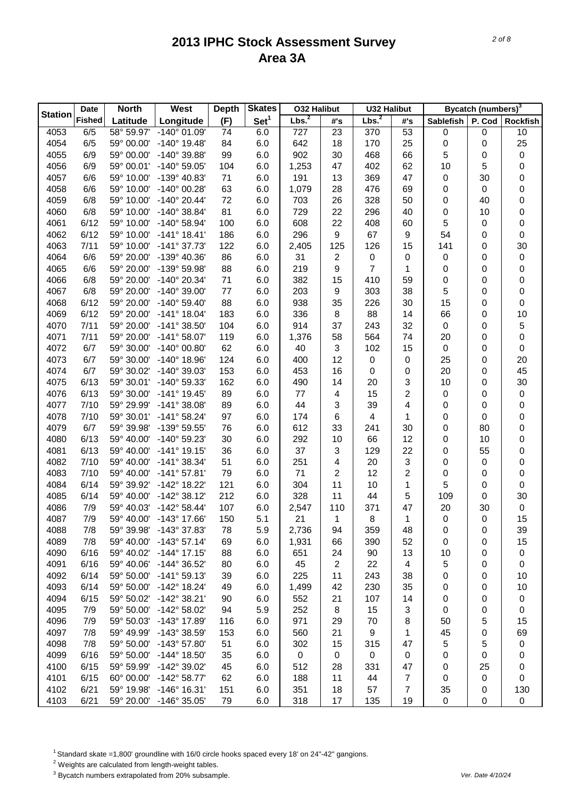| Set <sup>1</sup><br><b>Fished</b><br>Latitude<br>Longitude<br>(F)<br>P. Cod<br><b>Rockfish</b><br>#'s<br>#'s<br>Sablefish<br>4053<br>58° 59.97'<br>53<br>6/5<br>$-140^{\circ}$ 01.09'<br>6.0<br>727<br>23<br>370<br>0<br>0<br>10<br>74<br>25<br>$-140^{\circ}$ 19.48'<br>6.0<br>642<br>170<br>25<br>4054<br>6/5<br>59° 00.00'<br>84<br>18<br>0<br>0<br>4055<br>-140° 39.88'<br>99<br>6.0<br>902<br>30<br>468<br>66<br>5<br>$\pmb{0}$<br>6/9<br>59° 00.00'<br>0<br>4056<br>-140° 59.05'<br>6.0<br>1,253<br>47<br>62<br>10<br>5<br>0<br>6/9<br>59° 00.01'<br>104<br>402<br>-139° 40.83'<br>47<br>30<br>0<br>4057<br>6/6<br>59° 10.00'<br>71<br>6.0<br>191<br>13<br>369<br>0<br>$-140^{\circ}$ 00.28'<br>63<br>1,079<br>0<br>4058<br>6/6<br>59° 10.00'<br>6.0<br>28<br>476<br>69<br>0<br>0<br>$-140^{\circ}$ 20.44'<br>328<br>0<br>4059<br>6/8<br>59° 10.00'<br>72<br>6.0<br>26<br>50<br>0<br>40<br>703<br>$-140^{\circ}$ 38.84'<br>81<br>22<br>0<br>4060<br>6/8<br>59° 10.00'<br>6.0<br>729<br>296<br>40<br>0<br>10<br>5<br>-140° 58.94'<br>22<br>0<br>4061<br>6/12<br>59° 10.00'<br>100<br>6.0<br>608<br>408<br>60<br>0<br>$-141°$ 18.41'<br>186<br>296<br>9<br>67<br>54<br>$\boldsymbol{0}$<br>4062<br>6/12<br>59° 10.00'<br>6.0<br>9<br>0<br>30<br>4063<br>125<br>15<br>141<br>7/11<br>59° 10.00'<br>$-141°37.73'$<br>122<br>6.0<br>2,405<br>126<br>0<br>6/6<br>-139° 40.36'<br>86<br>6.0<br>2<br>4064<br>59° 20.00'<br>31<br>0<br>0<br>0<br>0<br>$\pmb{0}$<br>$\overline{7}$<br>88<br>0<br>4065<br>6/6<br>59° 20.00'<br>-139° 59.98'<br>6.0<br>219<br>9<br>1<br>0<br>0<br>-140° 20.34'<br>15<br>0<br>4066<br>6/8<br>59° 20.00'<br>71<br>6.0<br>382<br>410<br>59<br>0<br>0<br>5<br>$-140^{\circ}$ 39.00'<br>303<br>0<br>4067<br>6/8<br>59° 20.00'<br>77<br>6.0<br>203<br>9<br>38<br>0<br>88<br>35<br>15<br>0<br>4068<br>6/12<br>59° 20.00'<br>$-140^{\circ} 59.40'$<br>6.0<br>938<br>226<br>30<br>0<br>$-141°$ 18.04'<br>183<br>88<br>66<br>10<br>4069<br>6/12<br>59° 20.00'<br>6.0<br>336<br>8<br>14<br>0<br>104<br>6.0<br>37<br>32<br>5<br>4070<br>7/11<br>59° 20.00'<br>$-141^{\circ}$ 38.50<br>914<br>243<br>$\boldsymbol{0}$<br>0<br>$\pmb{0}$<br>$-141°58.07'$<br>119<br>6.0<br>1,376<br>58<br>564<br>74<br>4071<br>7/11<br>59° 20.00'<br>20<br>0<br>6/7<br>62<br>3<br>15<br>$\boldsymbol{0}$<br>$\pmb{0}$<br>4072<br>59° 30.00'<br>$-140^{\circ}$ 00.80'<br>6.0<br>40<br>102<br>0<br>12<br>25<br>20<br>4073<br>6/7<br>59° 30.00'<br>$-140^{\circ}$ 18.96'<br>124<br>6.0<br>400<br>0<br>0<br>0<br>45<br>153<br>4074<br>6/7<br>59° 30.02'<br>-140° 39.03'<br>6.0<br>453<br>16<br>0<br>0<br>20<br>0<br>162<br>3<br>30<br>4075<br>6/13<br>59° 30.01'<br>-140° 59.33'<br>6.0<br>14<br>20<br>10<br>0<br>490<br>$\overline{2}$<br>$-141°$ 19.45'<br>89<br>4076<br>6/13<br>59° 30.00'<br>6.0<br>77<br>15<br>0<br>$\pmb{0}$<br>4<br>0<br>44<br>4077<br>7/10<br>59° 29.99'<br>$-141°38.08'$<br>89<br>6.0<br>3<br>39<br>4<br>0<br>0<br>0<br>0<br>4078<br>7/10<br>59° 30.01'<br>$-141^{\circ}58.24'$<br>97<br>6.0<br>174<br>6<br>1<br>0<br>0<br>4<br>6/7<br>76<br>6.0<br>612<br>33<br>30<br>0<br>4079<br>59° 39.98'<br>-139° 59.55'<br>241<br>0<br>80<br>66<br>12<br>0<br>4080<br>6/13<br>59° 40.00'<br>-140° 59.23'<br>30<br>6.0<br>292<br>10<br>0<br>10<br>0<br>$-141°$ 19.15'<br>37<br>3<br>22<br>55<br>4081<br>6/13<br>59° 40.00'<br>36<br>6.0<br>129<br>0<br>3<br>0<br>4082<br>7/10<br>59° 40.00'<br>$-141^{\circ}$ 38.34'<br>51<br>6.0<br>251<br>20<br>0<br>0<br>4<br>2<br>0<br>4083<br>7/10<br>59° 40.00'<br>$-141°57.81'$<br>79<br>6.0<br>71<br>2<br>12<br>0<br>0<br>5<br>11<br>$\pmb{0}$<br>4084<br>6/14<br>59° 39.92'<br>-142° 18.22'<br>121<br>6.0<br>304<br>10<br>1<br>0<br>212<br>11<br>5<br>109<br>30<br>4085<br>6/14<br>59° 40.00'<br>$-142^{\circ}38.12'$<br>6.0<br>328<br>44<br>0<br>4086<br>107<br>110<br>20<br>$\pmb{0}$<br>7/9<br>59° 40.03'<br>$-142^{\circ}58.44'$<br>6.0<br>2,547<br>371<br>47<br>30<br>15<br>4087<br>150<br>5.1<br>21<br>8<br>$\pmb{0}$<br>7/9<br>59° 40.00'<br>-143° 17.66'<br>1<br>1<br>0<br>4088<br>7/8<br>59° 39.98'<br>$-143^{\circ}$ 37.83<br>78<br>5.9<br>2,736<br>94<br>359<br>48<br>0<br>0<br>39<br>4089<br>$-143°57.14'$<br>6.0<br>390<br>52<br>15<br>7/8<br>59° 40.00'<br>69<br>1,931<br>66<br>0<br>0<br>4090<br>6/16<br>59° 40.02'<br>$-144^{\circ}$ 17.15'<br>88<br>6.0<br>90<br>13<br>651<br>24<br>10<br>0<br>0<br>4091<br>6/16<br>59° 40.06'<br>-144° 36.52'<br>6.0<br>$\overline{2}$<br>22<br>5<br>80<br>45<br>0<br>0<br>4<br>4092<br>6/14<br>59° 50.00'<br>$-141°59.13'$<br>39<br>6.0<br>225<br>11<br>243<br>10<br>38<br>0<br>0<br>6.0<br>4093<br>6/14<br>59° 50.00'<br>$-142^{\circ}$ 18.24'<br>49<br>1,499<br>42<br>230<br>35<br>10<br>0<br>0<br>6.0<br>4094<br>6/15<br>59° 50.02'<br>$-142^{\circ}$ 38.21'<br>21<br>107<br>14<br>90<br>552<br>0<br>0<br>0<br>4095<br>7/9<br>59° 50.00'<br>-142° 58.02'<br>5.9<br>252<br>8<br>15<br>94<br>3<br>0<br>0<br>0<br>4096<br>7/9<br>59° 50.03'<br>-143° 17.89'<br>6.0<br>971<br>29<br>5<br>15<br>116<br>70<br>8<br>50<br>4097<br>7/8<br>-143° 38.59'<br>153<br>6.0<br>21<br>9<br>45<br>69<br>59° 49.99'<br>560<br>1<br>0<br>4098<br>-143° 57.80'<br>51<br>6.0<br>5<br>7/8<br>59° 50.00'<br>302<br>15<br>315<br>47<br>5<br>0<br>4099<br>6/16<br>59° 50.00'<br>-144° 18.50'<br>35<br>6.0<br>$\pmb{0}$<br>$\pmb{0}$<br>$\pmb{0}$<br>0<br>0<br>0<br>0<br>4100<br>6/15<br>59° 59.99'<br>-142° 39.02'<br>6.0<br>331<br>45<br>512<br>28<br>47<br>25<br>0<br>0<br>4101<br>6/15<br>60° 00.00'<br>$-142^{\circ}58.77'$<br>62<br>6.0<br>11<br>44<br>0<br>188<br>$\overline{7}$<br>0<br>0 | <b>Station</b> | <b>Date</b> | <b>North</b> | West | <b>Depth</b> | <b>Skates</b> | <b>032 Halibut</b> | <b>U32 Halibut</b> |  | Bycatch (numbers) <sup>3</sup> |  |
|-------------------------------------------------------------------------------------------------------------------------------------------------------------------------------------------------------------------------------------------------------------------------------------------------------------------------------------------------------------------------------------------------------------------------------------------------------------------------------------------------------------------------------------------------------------------------------------------------------------------------------------------------------------------------------------------------------------------------------------------------------------------------------------------------------------------------------------------------------------------------------------------------------------------------------------------------------------------------------------------------------------------------------------------------------------------------------------------------------------------------------------------------------------------------------------------------------------------------------------------------------------------------------------------------------------------------------------------------------------------------------------------------------------------------------------------------------------------------------------------------------------------------------------------------------------------------------------------------------------------------------------------------------------------------------------------------------------------------------------------------------------------------------------------------------------------------------------------------------------------------------------------------------------------------------------------------------------------------------------------------------------------------------------------------------------------------------------------------------------------------------------------------------------------------------------------------------------------------------------------------------------------------------------------------------------------------------------------------------------------------------------------------------------------------------------------------------------------------------------------------------------------------------------------------------------------------------------------------------------------------------------------------------------------------------------------------------------------------------------------------------------------------------------------------------------------------------------------------------------------------------------------------------------------------------------------------------------------------------------------------------------------------------------------------------------------------------------------------------------------------------------------------------------------------------------------------------------------------------------------------------------------------------------------------------------------------------------------------------------------------------------------------------------------------------------------------------------------------------------------------------------------------------------------------------------------------------------------------------------------------------------------------------------------------------------------------------------------------------------------------------------------------------------------------------------------------------------------------------------------------------------------------------------------------------------------------------------------------------------------------------------------------------------------------------------------------------------------------------------------------------------------------------------------------------------------------------------------------------------------------------------------------------------------------------------------------------------------------------------------------------------------------------------------------------------------------------------------------------------------------------------------------------------------------------------------------------------------------------------------------------------------------------------------------------------------------------------------------------------------------------------------------------------------------------------------------------------------------------------------------------------------------------------------------------------------------------------------------------------------------------------------------------------------------------------------------------------------------------------------------------------------------------------------------------------------------------------------------------------------------------------------------------------------------------------------------------------------------------------------------------------------------------------------------------------------------------------------------------------------------------------------------------------------------------------------------------|----------------|-------------|--------------|------|--------------|---------------|--------------------|--------------------|--|--------------------------------|--|
|                                                                                                                                                                                                                                                                                                                                                                                                                                                                                                                                                                                                                                                                                                                                                                                                                                                                                                                                                                                                                                                                                                                                                                                                                                                                                                                                                                                                                                                                                                                                                                                                                                                                                                                                                                                                                                                                                                                                                                                                                                                                                                                                                                                                                                                                                                                                                                                                                                                                                                                                                                                                                                                                                                                                                                                                                                                                                                                                                                                                                                                                                                                                                                                                                                                                                                                                                                                                                                                                                                                                                                                                                                                                                                                                                                                                                                                                                                                                                                                                                                                                                                                                                                                                                                                                                                                                                                                                                                                                                                                                                                                                                                                                                                                                                                                                                                                                                                                                                                                                                                                                                                                                                                                                                                                                                                                                                                                                                                                                                                                                                                               |                |             |              |      |              |               | Lbs. <sup>2</sup>  | Lbs. <sup>2</sup>  |  |                                |  |
|                                                                                                                                                                                                                                                                                                                                                                                                                                                                                                                                                                                                                                                                                                                                                                                                                                                                                                                                                                                                                                                                                                                                                                                                                                                                                                                                                                                                                                                                                                                                                                                                                                                                                                                                                                                                                                                                                                                                                                                                                                                                                                                                                                                                                                                                                                                                                                                                                                                                                                                                                                                                                                                                                                                                                                                                                                                                                                                                                                                                                                                                                                                                                                                                                                                                                                                                                                                                                                                                                                                                                                                                                                                                                                                                                                                                                                                                                                                                                                                                                                                                                                                                                                                                                                                                                                                                                                                                                                                                                                                                                                                                                                                                                                                                                                                                                                                                                                                                                                                                                                                                                                                                                                                                                                                                                                                                                                                                                                                                                                                                                                               |                |             |              |      |              |               |                    |                    |  |                                |  |
|                                                                                                                                                                                                                                                                                                                                                                                                                                                                                                                                                                                                                                                                                                                                                                                                                                                                                                                                                                                                                                                                                                                                                                                                                                                                                                                                                                                                                                                                                                                                                                                                                                                                                                                                                                                                                                                                                                                                                                                                                                                                                                                                                                                                                                                                                                                                                                                                                                                                                                                                                                                                                                                                                                                                                                                                                                                                                                                                                                                                                                                                                                                                                                                                                                                                                                                                                                                                                                                                                                                                                                                                                                                                                                                                                                                                                                                                                                                                                                                                                                                                                                                                                                                                                                                                                                                                                                                                                                                                                                                                                                                                                                                                                                                                                                                                                                                                                                                                                                                                                                                                                                                                                                                                                                                                                                                                                                                                                                                                                                                                                                               |                |             |              |      |              |               |                    |                    |  |                                |  |
|                                                                                                                                                                                                                                                                                                                                                                                                                                                                                                                                                                                                                                                                                                                                                                                                                                                                                                                                                                                                                                                                                                                                                                                                                                                                                                                                                                                                                                                                                                                                                                                                                                                                                                                                                                                                                                                                                                                                                                                                                                                                                                                                                                                                                                                                                                                                                                                                                                                                                                                                                                                                                                                                                                                                                                                                                                                                                                                                                                                                                                                                                                                                                                                                                                                                                                                                                                                                                                                                                                                                                                                                                                                                                                                                                                                                                                                                                                                                                                                                                                                                                                                                                                                                                                                                                                                                                                                                                                                                                                                                                                                                                                                                                                                                                                                                                                                                                                                                                                                                                                                                                                                                                                                                                                                                                                                                                                                                                                                                                                                                                                               |                |             |              |      |              |               |                    |                    |  |                                |  |
|                                                                                                                                                                                                                                                                                                                                                                                                                                                                                                                                                                                                                                                                                                                                                                                                                                                                                                                                                                                                                                                                                                                                                                                                                                                                                                                                                                                                                                                                                                                                                                                                                                                                                                                                                                                                                                                                                                                                                                                                                                                                                                                                                                                                                                                                                                                                                                                                                                                                                                                                                                                                                                                                                                                                                                                                                                                                                                                                                                                                                                                                                                                                                                                                                                                                                                                                                                                                                                                                                                                                                                                                                                                                                                                                                                                                                                                                                                                                                                                                                                                                                                                                                                                                                                                                                                                                                                                                                                                                                                                                                                                                                                                                                                                                                                                                                                                                                                                                                                                                                                                                                                                                                                                                                                                                                                                                                                                                                                                                                                                                                                               |                |             |              |      |              |               |                    |                    |  |                                |  |
|                                                                                                                                                                                                                                                                                                                                                                                                                                                                                                                                                                                                                                                                                                                                                                                                                                                                                                                                                                                                                                                                                                                                                                                                                                                                                                                                                                                                                                                                                                                                                                                                                                                                                                                                                                                                                                                                                                                                                                                                                                                                                                                                                                                                                                                                                                                                                                                                                                                                                                                                                                                                                                                                                                                                                                                                                                                                                                                                                                                                                                                                                                                                                                                                                                                                                                                                                                                                                                                                                                                                                                                                                                                                                                                                                                                                                                                                                                                                                                                                                                                                                                                                                                                                                                                                                                                                                                                                                                                                                                                                                                                                                                                                                                                                                                                                                                                                                                                                                                                                                                                                                                                                                                                                                                                                                                                                                                                                                                                                                                                                                                               |                |             |              |      |              |               |                    |                    |  |                                |  |
|                                                                                                                                                                                                                                                                                                                                                                                                                                                                                                                                                                                                                                                                                                                                                                                                                                                                                                                                                                                                                                                                                                                                                                                                                                                                                                                                                                                                                                                                                                                                                                                                                                                                                                                                                                                                                                                                                                                                                                                                                                                                                                                                                                                                                                                                                                                                                                                                                                                                                                                                                                                                                                                                                                                                                                                                                                                                                                                                                                                                                                                                                                                                                                                                                                                                                                                                                                                                                                                                                                                                                                                                                                                                                                                                                                                                                                                                                                                                                                                                                                                                                                                                                                                                                                                                                                                                                                                                                                                                                                                                                                                                                                                                                                                                                                                                                                                                                                                                                                                                                                                                                                                                                                                                                                                                                                                                                                                                                                                                                                                                                                               |                |             |              |      |              |               |                    |                    |  |                                |  |
|                                                                                                                                                                                                                                                                                                                                                                                                                                                                                                                                                                                                                                                                                                                                                                                                                                                                                                                                                                                                                                                                                                                                                                                                                                                                                                                                                                                                                                                                                                                                                                                                                                                                                                                                                                                                                                                                                                                                                                                                                                                                                                                                                                                                                                                                                                                                                                                                                                                                                                                                                                                                                                                                                                                                                                                                                                                                                                                                                                                                                                                                                                                                                                                                                                                                                                                                                                                                                                                                                                                                                                                                                                                                                                                                                                                                                                                                                                                                                                                                                                                                                                                                                                                                                                                                                                                                                                                                                                                                                                                                                                                                                                                                                                                                                                                                                                                                                                                                                                                                                                                                                                                                                                                                                                                                                                                                                                                                                                                                                                                                                                               |                |             |              |      |              |               |                    |                    |  |                                |  |
|                                                                                                                                                                                                                                                                                                                                                                                                                                                                                                                                                                                                                                                                                                                                                                                                                                                                                                                                                                                                                                                                                                                                                                                                                                                                                                                                                                                                                                                                                                                                                                                                                                                                                                                                                                                                                                                                                                                                                                                                                                                                                                                                                                                                                                                                                                                                                                                                                                                                                                                                                                                                                                                                                                                                                                                                                                                                                                                                                                                                                                                                                                                                                                                                                                                                                                                                                                                                                                                                                                                                                                                                                                                                                                                                                                                                                                                                                                                                                                                                                                                                                                                                                                                                                                                                                                                                                                                                                                                                                                                                                                                                                                                                                                                                                                                                                                                                                                                                                                                                                                                                                                                                                                                                                                                                                                                                                                                                                                                                                                                                                                               |                |             |              |      |              |               |                    |                    |  |                                |  |
|                                                                                                                                                                                                                                                                                                                                                                                                                                                                                                                                                                                                                                                                                                                                                                                                                                                                                                                                                                                                                                                                                                                                                                                                                                                                                                                                                                                                                                                                                                                                                                                                                                                                                                                                                                                                                                                                                                                                                                                                                                                                                                                                                                                                                                                                                                                                                                                                                                                                                                                                                                                                                                                                                                                                                                                                                                                                                                                                                                                                                                                                                                                                                                                                                                                                                                                                                                                                                                                                                                                                                                                                                                                                                                                                                                                                                                                                                                                                                                                                                                                                                                                                                                                                                                                                                                                                                                                                                                                                                                                                                                                                                                                                                                                                                                                                                                                                                                                                                                                                                                                                                                                                                                                                                                                                                                                                                                                                                                                                                                                                                                               |                |             |              |      |              |               |                    |                    |  |                                |  |
|                                                                                                                                                                                                                                                                                                                                                                                                                                                                                                                                                                                                                                                                                                                                                                                                                                                                                                                                                                                                                                                                                                                                                                                                                                                                                                                                                                                                                                                                                                                                                                                                                                                                                                                                                                                                                                                                                                                                                                                                                                                                                                                                                                                                                                                                                                                                                                                                                                                                                                                                                                                                                                                                                                                                                                                                                                                                                                                                                                                                                                                                                                                                                                                                                                                                                                                                                                                                                                                                                                                                                                                                                                                                                                                                                                                                                                                                                                                                                                                                                                                                                                                                                                                                                                                                                                                                                                                                                                                                                                                                                                                                                                                                                                                                                                                                                                                                                                                                                                                                                                                                                                                                                                                                                                                                                                                                                                                                                                                                                                                                                                               |                |             |              |      |              |               |                    |                    |  |                                |  |
|                                                                                                                                                                                                                                                                                                                                                                                                                                                                                                                                                                                                                                                                                                                                                                                                                                                                                                                                                                                                                                                                                                                                                                                                                                                                                                                                                                                                                                                                                                                                                                                                                                                                                                                                                                                                                                                                                                                                                                                                                                                                                                                                                                                                                                                                                                                                                                                                                                                                                                                                                                                                                                                                                                                                                                                                                                                                                                                                                                                                                                                                                                                                                                                                                                                                                                                                                                                                                                                                                                                                                                                                                                                                                                                                                                                                                                                                                                                                                                                                                                                                                                                                                                                                                                                                                                                                                                                                                                                                                                                                                                                                                                                                                                                                                                                                                                                                                                                                                                                                                                                                                                                                                                                                                                                                                                                                                                                                                                                                                                                                                                               |                |             |              |      |              |               |                    |                    |  |                                |  |
|                                                                                                                                                                                                                                                                                                                                                                                                                                                                                                                                                                                                                                                                                                                                                                                                                                                                                                                                                                                                                                                                                                                                                                                                                                                                                                                                                                                                                                                                                                                                                                                                                                                                                                                                                                                                                                                                                                                                                                                                                                                                                                                                                                                                                                                                                                                                                                                                                                                                                                                                                                                                                                                                                                                                                                                                                                                                                                                                                                                                                                                                                                                                                                                                                                                                                                                                                                                                                                                                                                                                                                                                                                                                                                                                                                                                                                                                                                                                                                                                                                                                                                                                                                                                                                                                                                                                                                                                                                                                                                                                                                                                                                                                                                                                                                                                                                                                                                                                                                                                                                                                                                                                                                                                                                                                                                                                                                                                                                                                                                                                                                               |                |             |              |      |              |               |                    |                    |  |                                |  |
|                                                                                                                                                                                                                                                                                                                                                                                                                                                                                                                                                                                                                                                                                                                                                                                                                                                                                                                                                                                                                                                                                                                                                                                                                                                                                                                                                                                                                                                                                                                                                                                                                                                                                                                                                                                                                                                                                                                                                                                                                                                                                                                                                                                                                                                                                                                                                                                                                                                                                                                                                                                                                                                                                                                                                                                                                                                                                                                                                                                                                                                                                                                                                                                                                                                                                                                                                                                                                                                                                                                                                                                                                                                                                                                                                                                                                                                                                                                                                                                                                                                                                                                                                                                                                                                                                                                                                                                                                                                                                                                                                                                                                                                                                                                                                                                                                                                                                                                                                                                                                                                                                                                                                                                                                                                                                                                                                                                                                                                                                                                                                                               |                |             |              |      |              |               |                    |                    |  |                                |  |
|                                                                                                                                                                                                                                                                                                                                                                                                                                                                                                                                                                                                                                                                                                                                                                                                                                                                                                                                                                                                                                                                                                                                                                                                                                                                                                                                                                                                                                                                                                                                                                                                                                                                                                                                                                                                                                                                                                                                                                                                                                                                                                                                                                                                                                                                                                                                                                                                                                                                                                                                                                                                                                                                                                                                                                                                                                                                                                                                                                                                                                                                                                                                                                                                                                                                                                                                                                                                                                                                                                                                                                                                                                                                                                                                                                                                                                                                                                                                                                                                                                                                                                                                                                                                                                                                                                                                                                                                                                                                                                                                                                                                                                                                                                                                                                                                                                                                                                                                                                                                                                                                                                                                                                                                                                                                                                                                                                                                                                                                                                                                                                               |                |             |              |      |              |               |                    |                    |  |                                |  |
|                                                                                                                                                                                                                                                                                                                                                                                                                                                                                                                                                                                                                                                                                                                                                                                                                                                                                                                                                                                                                                                                                                                                                                                                                                                                                                                                                                                                                                                                                                                                                                                                                                                                                                                                                                                                                                                                                                                                                                                                                                                                                                                                                                                                                                                                                                                                                                                                                                                                                                                                                                                                                                                                                                                                                                                                                                                                                                                                                                                                                                                                                                                                                                                                                                                                                                                                                                                                                                                                                                                                                                                                                                                                                                                                                                                                                                                                                                                                                                                                                                                                                                                                                                                                                                                                                                                                                                                                                                                                                                                                                                                                                                                                                                                                                                                                                                                                                                                                                                                                                                                                                                                                                                                                                                                                                                                                                                                                                                                                                                                                                                               |                |             |              |      |              |               |                    |                    |  |                                |  |
|                                                                                                                                                                                                                                                                                                                                                                                                                                                                                                                                                                                                                                                                                                                                                                                                                                                                                                                                                                                                                                                                                                                                                                                                                                                                                                                                                                                                                                                                                                                                                                                                                                                                                                                                                                                                                                                                                                                                                                                                                                                                                                                                                                                                                                                                                                                                                                                                                                                                                                                                                                                                                                                                                                                                                                                                                                                                                                                                                                                                                                                                                                                                                                                                                                                                                                                                                                                                                                                                                                                                                                                                                                                                                                                                                                                                                                                                                                                                                                                                                                                                                                                                                                                                                                                                                                                                                                                                                                                                                                                                                                                                                                                                                                                                                                                                                                                                                                                                                                                                                                                                                                                                                                                                                                                                                                                                                                                                                                                                                                                                                                               |                |             |              |      |              |               |                    |                    |  |                                |  |
|                                                                                                                                                                                                                                                                                                                                                                                                                                                                                                                                                                                                                                                                                                                                                                                                                                                                                                                                                                                                                                                                                                                                                                                                                                                                                                                                                                                                                                                                                                                                                                                                                                                                                                                                                                                                                                                                                                                                                                                                                                                                                                                                                                                                                                                                                                                                                                                                                                                                                                                                                                                                                                                                                                                                                                                                                                                                                                                                                                                                                                                                                                                                                                                                                                                                                                                                                                                                                                                                                                                                                                                                                                                                                                                                                                                                                                                                                                                                                                                                                                                                                                                                                                                                                                                                                                                                                                                                                                                                                                                                                                                                                                                                                                                                                                                                                                                                                                                                                                                                                                                                                                                                                                                                                                                                                                                                                                                                                                                                                                                                                                               |                |             |              |      |              |               |                    |                    |  |                                |  |
|                                                                                                                                                                                                                                                                                                                                                                                                                                                                                                                                                                                                                                                                                                                                                                                                                                                                                                                                                                                                                                                                                                                                                                                                                                                                                                                                                                                                                                                                                                                                                                                                                                                                                                                                                                                                                                                                                                                                                                                                                                                                                                                                                                                                                                                                                                                                                                                                                                                                                                                                                                                                                                                                                                                                                                                                                                                                                                                                                                                                                                                                                                                                                                                                                                                                                                                                                                                                                                                                                                                                                                                                                                                                                                                                                                                                                                                                                                                                                                                                                                                                                                                                                                                                                                                                                                                                                                                                                                                                                                                                                                                                                                                                                                                                                                                                                                                                                                                                                                                                                                                                                                                                                                                                                                                                                                                                                                                                                                                                                                                                                                               |                |             |              |      |              |               |                    |                    |  |                                |  |
|                                                                                                                                                                                                                                                                                                                                                                                                                                                                                                                                                                                                                                                                                                                                                                                                                                                                                                                                                                                                                                                                                                                                                                                                                                                                                                                                                                                                                                                                                                                                                                                                                                                                                                                                                                                                                                                                                                                                                                                                                                                                                                                                                                                                                                                                                                                                                                                                                                                                                                                                                                                                                                                                                                                                                                                                                                                                                                                                                                                                                                                                                                                                                                                                                                                                                                                                                                                                                                                                                                                                                                                                                                                                                                                                                                                                                                                                                                                                                                                                                                                                                                                                                                                                                                                                                                                                                                                                                                                                                                                                                                                                                                                                                                                                                                                                                                                                                                                                                                                                                                                                                                                                                                                                                                                                                                                                                                                                                                                                                                                                                                               |                |             |              |      |              |               |                    |                    |  |                                |  |
|                                                                                                                                                                                                                                                                                                                                                                                                                                                                                                                                                                                                                                                                                                                                                                                                                                                                                                                                                                                                                                                                                                                                                                                                                                                                                                                                                                                                                                                                                                                                                                                                                                                                                                                                                                                                                                                                                                                                                                                                                                                                                                                                                                                                                                                                                                                                                                                                                                                                                                                                                                                                                                                                                                                                                                                                                                                                                                                                                                                                                                                                                                                                                                                                                                                                                                                                                                                                                                                                                                                                                                                                                                                                                                                                                                                                                                                                                                                                                                                                                                                                                                                                                                                                                                                                                                                                                                                                                                                                                                                                                                                                                                                                                                                                                                                                                                                                                                                                                                                                                                                                                                                                                                                                                                                                                                                                                                                                                                                                                                                                                                               |                |             |              |      |              |               |                    |                    |  |                                |  |
|                                                                                                                                                                                                                                                                                                                                                                                                                                                                                                                                                                                                                                                                                                                                                                                                                                                                                                                                                                                                                                                                                                                                                                                                                                                                                                                                                                                                                                                                                                                                                                                                                                                                                                                                                                                                                                                                                                                                                                                                                                                                                                                                                                                                                                                                                                                                                                                                                                                                                                                                                                                                                                                                                                                                                                                                                                                                                                                                                                                                                                                                                                                                                                                                                                                                                                                                                                                                                                                                                                                                                                                                                                                                                                                                                                                                                                                                                                                                                                                                                                                                                                                                                                                                                                                                                                                                                                                                                                                                                                                                                                                                                                                                                                                                                                                                                                                                                                                                                                                                                                                                                                                                                                                                                                                                                                                                                                                                                                                                                                                                                                               |                |             |              |      |              |               |                    |                    |  |                                |  |
|                                                                                                                                                                                                                                                                                                                                                                                                                                                                                                                                                                                                                                                                                                                                                                                                                                                                                                                                                                                                                                                                                                                                                                                                                                                                                                                                                                                                                                                                                                                                                                                                                                                                                                                                                                                                                                                                                                                                                                                                                                                                                                                                                                                                                                                                                                                                                                                                                                                                                                                                                                                                                                                                                                                                                                                                                                                                                                                                                                                                                                                                                                                                                                                                                                                                                                                                                                                                                                                                                                                                                                                                                                                                                                                                                                                                                                                                                                                                                                                                                                                                                                                                                                                                                                                                                                                                                                                                                                                                                                                                                                                                                                                                                                                                                                                                                                                                                                                                                                                                                                                                                                                                                                                                                                                                                                                                                                                                                                                                                                                                                                               |                |             |              |      |              |               |                    |                    |  |                                |  |
|                                                                                                                                                                                                                                                                                                                                                                                                                                                                                                                                                                                                                                                                                                                                                                                                                                                                                                                                                                                                                                                                                                                                                                                                                                                                                                                                                                                                                                                                                                                                                                                                                                                                                                                                                                                                                                                                                                                                                                                                                                                                                                                                                                                                                                                                                                                                                                                                                                                                                                                                                                                                                                                                                                                                                                                                                                                                                                                                                                                                                                                                                                                                                                                                                                                                                                                                                                                                                                                                                                                                                                                                                                                                                                                                                                                                                                                                                                                                                                                                                                                                                                                                                                                                                                                                                                                                                                                                                                                                                                                                                                                                                                                                                                                                                                                                                                                                                                                                                                                                                                                                                                                                                                                                                                                                                                                                                                                                                                                                                                                                                                               |                |             |              |      |              |               |                    |                    |  |                                |  |
|                                                                                                                                                                                                                                                                                                                                                                                                                                                                                                                                                                                                                                                                                                                                                                                                                                                                                                                                                                                                                                                                                                                                                                                                                                                                                                                                                                                                                                                                                                                                                                                                                                                                                                                                                                                                                                                                                                                                                                                                                                                                                                                                                                                                                                                                                                                                                                                                                                                                                                                                                                                                                                                                                                                                                                                                                                                                                                                                                                                                                                                                                                                                                                                                                                                                                                                                                                                                                                                                                                                                                                                                                                                                                                                                                                                                                                                                                                                                                                                                                                                                                                                                                                                                                                                                                                                                                                                                                                                                                                                                                                                                                                                                                                                                                                                                                                                                                                                                                                                                                                                                                                                                                                                                                                                                                                                                                                                                                                                                                                                                                                               |                |             |              |      |              |               |                    |                    |  |                                |  |
|                                                                                                                                                                                                                                                                                                                                                                                                                                                                                                                                                                                                                                                                                                                                                                                                                                                                                                                                                                                                                                                                                                                                                                                                                                                                                                                                                                                                                                                                                                                                                                                                                                                                                                                                                                                                                                                                                                                                                                                                                                                                                                                                                                                                                                                                                                                                                                                                                                                                                                                                                                                                                                                                                                                                                                                                                                                                                                                                                                                                                                                                                                                                                                                                                                                                                                                                                                                                                                                                                                                                                                                                                                                                                                                                                                                                                                                                                                                                                                                                                                                                                                                                                                                                                                                                                                                                                                                                                                                                                                                                                                                                                                                                                                                                                                                                                                                                                                                                                                                                                                                                                                                                                                                                                                                                                                                                                                                                                                                                                                                                                                               |                |             |              |      |              |               |                    |                    |  |                                |  |
|                                                                                                                                                                                                                                                                                                                                                                                                                                                                                                                                                                                                                                                                                                                                                                                                                                                                                                                                                                                                                                                                                                                                                                                                                                                                                                                                                                                                                                                                                                                                                                                                                                                                                                                                                                                                                                                                                                                                                                                                                                                                                                                                                                                                                                                                                                                                                                                                                                                                                                                                                                                                                                                                                                                                                                                                                                                                                                                                                                                                                                                                                                                                                                                                                                                                                                                                                                                                                                                                                                                                                                                                                                                                                                                                                                                                                                                                                                                                                                                                                                                                                                                                                                                                                                                                                                                                                                                                                                                                                                                                                                                                                                                                                                                                                                                                                                                                                                                                                                                                                                                                                                                                                                                                                                                                                                                                                                                                                                                                                                                                                                               |                |             |              |      |              |               |                    |                    |  |                                |  |
|                                                                                                                                                                                                                                                                                                                                                                                                                                                                                                                                                                                                                                                                                                                                                                                                                                                                                                                                                                                                                                                                                                                                                                                                                                                                                                                                                                                                                                                                                                                                                                                                                                                                                                                                                                                                                                                                                                                                                                                                                                                                                                                                                                                                                                                                                                                                                                                                                                                                                                                                                                                                                                                                                                                                                                                                                                                                                                                                                                                                                                                                                                                                                                                                                                                                                                                                                                                                                                                                                                                                                                                                                                                                                                                                                                                                                                                                                                                                                                                                                                                                                                                                                                                                                                                                                                                                                                                                                                                                                                                                                                                                                                                                                                                                                                                                                                                                                                                                                                                                                                                                                                                                                                                                                                                                                                                                                                                                                                                                                                                                                                               |                |             |              |      |              |               |                    |                    |  |                                |  |
|                                                                                                                                                                                                                                                                                                                                                                                                                                                                                                                                                                                                                                                                                                                                                                                                                                                                                                                                                                                                                                                                                                                                                                                                                                                                                                                                                                                                                                                                                                                                                                                                                                                                                                                                                                                                                                                                                                                                                                                                                                                                                                                                                                                                                                                                                                                                                                                                                                                                                                                                                                                                                                                                                                                                                                                                                                                                                                                                                                                                                                                                                                                                                                                                                                                                                                                                                                                                                                                                                                                                                                                                                                                                                                                                                                                                                                                                                                                                                                                                                                                                                                                                                                                                                                                                                                                                                                                                                                                                                                                                                                                                                                                                                                                                                                                                                                                                                                                                                                                                                                                                                                                                                                                                                                                                                                                                                                                                                                                                                                                                                                               |                |             |              |      |              |               |                    |                    |  |                                |  |
|                                                                                                                                                                                                                                                                                                                                                                                                                                                                                                                                                                                                                                                                                                                                                                                                                                                                                                                                                                                                                                                                                                                                                                                                                                                                                                                                                                                                                                                                                                                                                                                                                                                                                                                                                                                                                                                                                                                                                                                                                                                                                                                                                                                                                                                                                                                                                                                                                                                                                                                                                                                                                                                                                                                                                                                                                                                                                                                                                                                                                                                                                                                                                                                                                                                                                                                                                                                                                                                                                                                                                                                                                                                                                                                                                                                                                                                                                                                                                                                                                                                                                                                                                                                                                                                                                                                                                                                                                                                                                                                                                                                                                                                                                                                                                                                                                                                                                                                                                                                                                                                                                                                                                                                                                                                                                                                                                                                                                                                                                                                                                                               |                |             |              |      |              |               |                    |                    |  |                                |  |
|                                                                                                                                                                                                                                                                                                                                                                                                                                                                                                                                                                                                                                                                                                                                                                                                                                                                                                                                                                                                                                                                                                                                                                                                                                                                                                                                                                                                                                                                                                                                                                                                                                                                                                                                                                                                                                                                                                                                                                                                                                                                                                                                                                                                                                                                                                                                                                                                                                                                                                                                                                                                                                                                                                                                                                                                                                                                                                                                                                                                                                                                                                                                                                                                                                                                                                                                                                                                                                                                                                                                                                                                                                                                                                                                                                                                                                                                                                                                                                                                                                                                                                                                                                                                                                                                                                                                                                                                                                                                                                                                                                                                                                                                                                                                                                                                                                                                                                                                                                                                                                                                                                                                                                                                                                                                                                                                                                                                                                                                                                                                                                               |                |             |              |      |              |               |                    |                    |  |                                |  |
|                                                                                                                                                                                                                                                                                                                                                                                                                                                                                                                                                                                                                                                                                                                                                                                                                                                                                                                                                                                                                                                                                                                                                                                                                                                                                                                                                                                                                                                                                                                                                                                                                                                                                                                                                                                                                                                                                                                                                                                                                                                                                                                                                                                                                                                                                                                                                                                                                                                                                                                                                                                                                                                                                                                                                                                                                                                                                                                                                                                                                                                                                                                                                                                                                                                                                                                                                                                                                                                                                                                                                                                                                                                                                                                                                                                                                                                                                                                                                                                                                                                                                                                                                                                                                                                                                                                                                                                                                                                                                                                                                                                                                                                                                                                                                                                                                                                                                                                                                                                                                                                                                                                                                                                                                                                                                                                                                                                                                                                                                                                                                                               |                |             |              |      |              |               |                    |                    |  |                                |  |
|                                                                                                                                                                                                                                                                                                                                                                                                                                                                                                                                                                                                                                                                                                                                                                                                                                                                                                                                                                                                                                                                                                                                                                                                                                                                                                                                                                                                                                                                                                                                                                                                                                                                                                                                                                                                                                                                                                                                                                                                                                                                                                                                                                                                                                                                                                                                                                                                                                                                                                                                                                                                                                                                                                                                                                                                                                                                                                                                                                                                                                                                                                                                                                                                                                                                                                                                                                                                                                                                                                                                                                                                                                                                                                                                                                                                                                                                                                                                                                                                                                                                                                                                                                                                                                                                                                                                                                                                                                                                                                                                                                                                                                                                                                                                                                                                                                                                                                                                                                                                                                                                                                                                                                                                                                                                                                                                                                                                                                                                                                                                                                               |                |             |              |      |              |               |                    |                    |  |                                |  |
|                                                                                                                                                                                                                                                                                                                                                                                                                                                                                                                                                                                                                                                                                                                                                                                                                                                                                                                                                                                                                                                                                                                                                                                                                                                                                                                                                                                                                                                                                                                                                                                                                                                                                                                                                                                                                                                                                                                                                                                                                                                                                                                                                                                                                                                                                                                                                                                                                                                                                                                                                                                                                                                                                                                                                                                                                                                                                                                                                                                                                                                                                                                                                                                                                                                                                                                                                                                                                                                                                                                                                                                                                                                                                                                                                                                                                                                                                                                                                                                                                                                                                                                                                                                                                                                                                                                                                                                                                                                                                                                                                                                                                                                                                                                                                                                                                                                                                                                                                                                                                                                                                                                                                                                                                                                                                                                                                                                                                                                                                                                                                                               |                |             |              |      |              |               |                    |                    |  |                                |  |
|                                                                                                                                                                                                                                                                                                                                                                                                                                                                                                                                                                                                                                                                                                                                                                                                                                                                                                                                                                                                                                                                                                                                                                                                                                                                                                                                                                                                                                                                                                                                                                                                                                                                                                                                                                                                                                                                                                                                                                                                                                                                                                                                                                                                                                                                                                                                                                                                                                                                                                                                                                                                                                                                                                                                                                                                                                                                                                                                                                                                                                                                                                                                                                                                                                                                                                                                                                                                                                                                                                                                                                                                                                                                                                                                                                                                                                                                                                                                                                                                                                                                                                                                                                                                                                                                                                                                                                                                                                                                                                                                                                                                                                                                                                                                                                                                                                                                                                                                                                                                                                                                                                                                                                                                                                                                                                                                                                                                                                                                                                                                                                               |                |             |              |      |              |               |                    |                    |  |                                |  |
|                                                                                                                                                                                                                                                                                                                                                                                                                                                                                                                                                                                                                                                                                                                                                                                                                                                                                                                                                                                                                                                                                                                                                                                                                                                                                                                                                                                                                                                                                                                                                                                                                                                                                                                                                                                                                                                                                                                                                                                                                                                                                                                                                                                                                                                                                                                                                                                                                                                                                                                                                                                                                                                                                                                                                                                                                                                                                                                                                                                                                                                                                                                                                                                                                                                                                                                                                                                                                                                                                                                                                                                                                                                                                                                                                                                                                                                                                                                                                                                                                                                                                                                                                                                                                                                                                                                                                                                                                                                                                                                                                                                                                                                                                                                                                                                                                                                                                                                                                                                                                                                                                                                                                                                                                                                                                                                                                                                                                                                                                                                                                                               |                |             |              |      |              |               |                    |                    |  |                                |  |
|                                                                                                                                                                                                                                                                                                                                                                                                                                                                                                                                                                                                                                                                                                                                                                                                                                                                                                                                                                                                                                                                                                                                                                                                                                                                                                                                                                                                                                                                                                                                                                                                                                                                                                                                                                                                                                                                                                                                                                                                                                                                                                                                                                                                                                                                                                                                                                                                                                                                                                                                                                                                                                                                                                                                                                                                                                                                                                                                                                                                                                                                                                                                                                                                                                                                                                                                                                                                                                                                                                                                                                                                                                                                                                                                                                                                                                                                                                                                                                                                                                                                                                                                                                                                                                                                                                                                                                                                                                                                                                                                                                                                                                                                                                                                                                                                                                                                                                                                                                                                                                                                                                                                                                                                                                                                                                                                                                                                                                                                                                                                                                               |                |             |              |      |              |               |                    |                    |  |                                |  |
|                                                                                                                                                                                                                                                                                                                                                                                                                                                                                                                                                                                                                                                                                                                                                                                                                                                                                                                                                                                                                                                                                                                                                                                                                                                                                                                                                                                                                                                                                                                                                                                                                                                                                                                                                                                                                                                                                                                                                                                                                                                                                                                                                                                                                                                                                                                                                                                                                                                                                                                                                                                                                                                                                                                                                                                                                                                                                                                                                                                                                                                                                                                                                                                                                                                                                                                                                                                                                                                                                                                                                                                                                                                                                                                                                                                                                                                                                                                                                                                                                                                                                                                                                                                                                                                                                                                                                                                                                                                                                                                                                                                                                                                                                                                                                                                                                                                                                                                                                                                                                                                                                                                                                                                                                                                                                                                                                                                                                                                                                                                                                                               |                |             |              |      |              |               |                    |                    |  |                                |  |
|                                                                                                                                                                                                                                                                                                                                                                                                                                                                                                                                                                                                                                                                                                                                                                                                                                                                                                                                                                                                                                                                                                                                                                                                                                                                                                                                                                                                                                                                                                                                                                                                                                                                                                                                                                                                                                                                                                                                                                                                                                                                                                                                                                                                                                                                                                                                                                                                                                                                                                                                                                                                                                                                                                                                                                                                                                                                                                                                                                                                                                                                                                                                                                                                                                                                                                                                                                                                                                                                                                                                                                                                                                                                                                                                                                                                                                                                                                                                                                                                                                                                                                                                                                                                                                                                                                                                                                                                                                                                                                                                                                                                                                                                                                                                                                                                                                                                                                                                                                                                                                                                                                                                                                                                                                                                                                                                                                                                                                                                                                                                                                               |                |             |              |      |              |               |                    |                    |  |                                |  |
|                                                                                                                                                                                                                                                                                                                                                                                                                                                                                                                                                                                                                                                                                                                                                                                                                                                                                                                                                                                                                                                                                                                                                                                                                                                                                                                                                                                                                                                                                                                                                                                                                                                                                                                                                                                                                                                                                                                                                                                                                                                                                                                                                                                                                                                                                                                                                                                                                                                                                                                                                                                                                                                                                                                                                                                                                                                                                                                                                                                                                                                                                                                                                                                                                                                                                                                                                                                                                                                                                                                                                                                                                                                                                                                                                                                                                                                                                                                                                                                                                                                                                                                                                                                                                                                                                                                                                                                                                                                                                                                                                                                                                                                                                                                                                                                                                                                                                                                                                                                                                                                                                                                                                                                                                                                                                                                                                                                                                                                                                                                                                                               |                |             |              |      |              |               |                    |                    |  |                                |  |
|                                                                                                                                                                                                                                                                                                                                                                                                                                                                                                                                                                                                                                                                                                                                                                                                                                                                                                                                                                                                                                                                                                                                                                                                                                                                                                                                                                                                                                                                                                                                                                                                                                                                                                                                                                                                                                                                                                                                                                                                                                                                                                                                                                                                                                                                                                                                                                                                                                                                                                                                                                                                                                                                                                                                                                                                                                                                                                                                                                                                                                                                                                                                                                                                                                                                                                                                                                                                                                                                                                                                                                                                                                                                                                                                                                                                                                                                                                                                                                                                                                                                                                                                                                                                                                                                                                                                                                                                                                                                                                                                                                                                                                                                                                                                                                                                                                                                                                                                                                                                                                                                                                                                                                                                                                                                                                                                                                                                                                                                                                                                                                               |                |             |              |      |              |               |                    |                    |  |                                |  |
|                                                                                                                                                                                                                                                                                                                                                                                                                                                                                                                                                                                                                                                                                                                                                                                                                                                                                                                                                                                                                                                                                                                                                                                                                                                                                                                                                                                                                                                                                                                                                                                                                                                                                                                                                                                                                                                                                                                                                                                                                                                                                                                                                                                                                                                                                                                                                                                                                                                                                                                                                                                                                                                                                                                                                                                                                                                                                                                                                                                                                                                                                                                                                                                                                                                                                                                                                                                                                                                                                                                                                                                                                                                                                                                                                                                                                                                                                                                                                                                                                                                                                                                                                                                                                                                                                                                                                                                                                                                                                                                                                                                                                                                                                                                                                                                                                                                                                                                                                                                                                                                                                                                                                                                                                                                                                                                                                                                                                                                                                                                                                                               |                |             |              |      |              |               |                    |                    |  |                                |  |
|                                                                                                                                                                                                                                                                                                                                                                                                                                                                                                                                                                                                                                                                                                                                                                                                                                                                                                                                                                                                                                                                                                                                                                                                                                                                                                                                                                                                                                                                                                                                                                                                                                                                                                                                                                                                                                                                                                                                                                                                                                                                                                                                                                                                                                                                                                                                                                                                                                                                                                                                                                                                                                                                                                                                                                                                                                                                                                                                                                                                                                                                                                                                                                                                                                                                                                                                                                                                                                                                                                                                                                                                                                                                                                                                                                                                                                                                                                                                                                                                                                                                                                                                                                                                                                                                                                                                                                                                                                                                                                                                                                                                                                                                                                                                                                                                                                                                                                                                                                                                                                                                                                                                                                                                                                                                                                                                                                                                                                                                                                                                                                               |                |             |              |      |              |               |                    |                    |  |                                |  |
|                                                                                                                                                                                                                                                                                                                                                                                                                                                                                                                                                                                                                                                                                                                                                                                                                                                                                                                                                                                                                                                                                                                                                                                                                                                                                                                                                                                                                                                                                                                                                                                                                                                                                                                                                                                                                                                                                                                                                                                                                                                                                                                                                                                                                                                                                                                                                                                                                                                                                                                                                                                                                                                                                                                                                                                                                                                                                                                                                                                                                                                                                                                                                                                                                                                                                                                                                                                                                                                                                                                                                                                                                                                                                                                                                                                                                                                                                                                                                                                                                                                                                                                                                                                                                                                                                                                                                                                                                                                                                                                                                                                                                                                                                                                                                                                                                                                                                                                                                                                                                                                                                                                                                                                                                                                                                                                                                                                                                                                                                                                                                                               |                |             |              |      |              |               |                    |                    |  |                                |  |
|                                                                                                                                                                                                                                                                                                                                                                                                                                                                                                                                                                                                                                                                                                                                                                                                                                                                                                                                                                                                                                                                                                                                                                                                                                                                                                                                                                                                                                                                                                                                                                                                                                                                                                                                                                                                                                                                                                                                                                                                                                                                                                                                                                                                                                                                                                                                                                                                                                                                                                                                                                                                                                                                                                                                                                                                                                                                                                                                                                                                                                                                                                                                                                                                                                                                                                                                                                                                                                                                                                                                                                                                                                                                                                                                                                                                                                                                                                                                                                                                                                                                                                                                                                                                                                                                                                                                                                                                                                                                                                                                                                                                                                                                                                                                                                                                                                                                                                                                                                                                                                                                                                                                                                                                                                                                                                                                                                                                                                                                                                                                                                               |                |             |              |      |              |               |                    |                    |  |                                |  |
|                                                                                                                                                                                                                                                                                                                                                                                                                                                                                                                                                                                                                                                                                                                                                                                                                                                                                                                                                                                                                                                                                                                                                                                                                                                                                                                                                                                                                                                                                                                                                                                                                                                                                                                                                                                                                                                                                                                                                                                                                                                                                                                                                                                                                                                                                                                                                                                                                                                                                                                                                                                                                                                                                                                                                                                                                                                                                                                                                                                                                                                                                                                                                                                                                                                                                                                                                                                                                                                                                                                                                                                                                                                                                                                                                                                                                                                                                                                                                                                                                                                                                                                                                                                                                                                                                                                                                                                                                                                                                                                                                                                                                                                                                                                                                                                                                                                                                                                                                                                                                                                                                                                                                                                                                                                                                                                                                                                                                                                                                                                                                                               |                |             |              |      |              |               |                    |                    |  |                                |  |
|                                                                                                                                                                                                                                                                                                                                                                                                                                                                                                                                                                                                                                                                                                                                                                                                                                                                                                                                                                                                                                                                                                                                                                                                                                                                                                                                                                                                                                                                                                                                                                                                                                                                                                                                                                                                                                                                                                                                                                                                                                                                                                                                                                                                                                                                                                                                                                                                                                                                                                                                                                                                                                                                                                                                                                                                                                                                                                                                                                                                                                                                                                                                                                                                                                                                                                                                                                                                                                                                                                                                                                                                                                                                                                                                                                                                                                                                                                                                                                                                                                                                                                                                                                                                                                                                                                                                                                                                                                                                                                                                                                                                                                                                                                                                                                                                                                                                                                                                                                                                                                                                                                                                                                                                                                                                                                                                                                                                                                                                                                                                                                               |                |             |              |      |              |               |                    |                    |  |                                |  |
|                                                                                                                                                                                                                                                                                                                                                                                                                                                                                                                                                                                                                                                                                                                                                                                                                                                                                                                                                                                                                                                                                                                                                                                                                                                                                                                                                                                                                                                                                                                                                                                                                                                                                                                                                                                                                                                                                                                                                                                                                                                                                                                                                                                                                                                                                                                                                                                                                                                                                                                                                                                                                                                                                                                                                                                                                                                                                                                                                                                                                                                                                                                                                                                                                                                                                                                                                                                                                                                                                                                                                                                                                                                                                                                                                                                                                                                                                                                                                                                                                                                                                                                                                                                                                                                                                                                                                                                                                                                                                                                                                                                                                                                                                                                                                                                                                                                                                                                                                                                                                                                                                                                                                                                                                                                                                                                                                                                                                                                                                                                                                                               |                |             |              |      |              |               |                    |                    |  |                                |  |
|                                                                                                                                                                                                                                                                                                                                                                                                                                                                                                                                                                                                                                                                                                                                                                                                                                                                                                                                                                                                                                                                                                                                                                                                                                                                                                                                                                                                                                                                                                                                                                                                                                                                                                                                                                                                                                                                                                                                                                                                                                                                                                                                                                                                                                                                                                                                                                                                                                                                                                                                                                                                                                                                                                                                                                                                                                                                                                                                                                                                                                                                                                                                                                                                                                                                                                                                                                                                                                                                                                                                                                                                                                                                                                                                                                                                                                                                                                                                                                                                                                                                                                                                                                                                                                                                                                                                                                                                                                                                                                                                                                                                                                                                                                                                                                                                                                                                                                                                                                                                                                                                                                                                                                                                                                                                                                                                                                                                                                                                                                                                                                               |                |             |              |      |              |               |                    |                    |  |                                |  |
|                                                                                                                                                                                                                                                                                                                                                                                                                                                                                                                                                                                                                                                                                                                                                                                                                                                                                                                                                                                                                                                                                                                                                                                                                                                                                                                                                                                                                                                                                                                                                                                                                                                                                                                                                                                                                                                                                                                                                                                                                                                                                                                                                                                                                                                                                                                                                                                                                                                                                                                                                                                                                                                                                                                                                                                                                                                                                                                                                                                                                                                                                                                                                                                                                                                                                                                                                                                                                                                                                                                                                                                                                                                                                                                                                                                                                                                                                                                                                                                                                                                                                                                                                                                                                                                                                                                                                                                                                                                                                                                                                                                                                                                                                                                                                                                                                                                                                                                                                                                                                                                                                                                                                                                                                                                                                                                                                                                                                                                                                                                                                                               |                |             |              |      |              |               |                    |                    |  |                                |  |
| 4102<br>6/21<br>59° 19.98'<br>$-146°$ 16.31'<br>151<br>6.0<br>351<br>18<br>57<br>7<br>130<br>35<br>0                                                                                                                                                                                                                                                                                                                                                                                                                                                                                                                                                                                                                                                                                                                                                                                                                                                                                                                                                                                                                                                                                                                                                                                                                                                                                                                                                                                                                                                                                                                                                                                                                                                                                                                                                                                                                                                                                                                                                                                                                                                                                                                                                                                                                                                                                                                                                                                                                                                                                                                                                                                                                                                                                                                                                                                                                                                                                                                                                                                                                                                                                                                                                                                                                                                                                                                                                                                                                                                                                                                                                                                                                                                                                                                                                                                                                                                                                                                                                                                                                                                                                                                                                                                                                                                                                                                                                                                                                                                                                                                                                                                                                                                                                                                                                                                                                                                                                                                                                                                                                                                                                                                                                                                                                                                                                                                                                                                                                                                                          |                |             |              |      |              |               |                    |                    |  |                                |  |
| 4103<br>6/21<br>59° 20.00'<br>-146° 35.05'<br>79<br>6.0<br>318<br>17<br>135<br>19<br>$\boldsymbol{0}$<br>$\pmb{0}$<br>0                                                                                                                                                                                                                                                                                                                                                                                                                                                                                                                                                                                                                                                                                                                                                                                                                                                                                                                                                                                                                                                                                                                                                                                                                                                                                                                                                                                                                                                                                                                                                                                                                                                                                                                                                                                                                                                                                                                                                                                                                                                                                                                                                                                                                                                                                                                                                                                                                                                                                                                                                                                                                                                                                                                                                                                                                                                                                                                                                                                                                                                                                                                                                                                                                                                                                                                                                                                                                                                                                                                                                                                                                                                                                                                                                                                                                                                                                                                                                                                                                                                                                                                                                                                                                                                                                                                                                                                                                                                                                                                                                                                                                                                                                                                                                                                                                                                                                                                                                                                                                                                                                                                                                                                                                                                                                                                                                                                                                                                       |                |             |              |      |              |               |                    |                    |  |                                |  |

<sup>1</sup> Standard skate =1,800' groundline with 16/0 circle hooks spaced every 18' on 24"-42" gangions.

2 Weights are calculated from length-weight tables.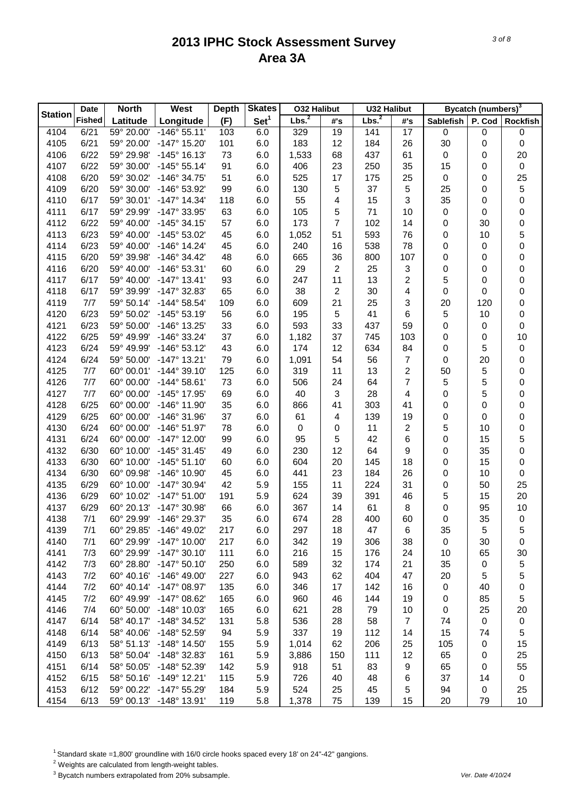|                | <b>Date</b>   | <b>North</b> | West                    | <b>Depth</b> | <b>Skates</b>    | <b>032 Halibut</b> |     | <b>U32 Halibut</b> |                |           | <b>Bycatch (numbers)</b> <sup>3</sup> |                  |
|----------------|---------------|--------------|-------------------------|--------------|------------------|--------------------|-----|--------------------|----------------|-----------|---------------------------------------|------------------|
| <b>Station</b> | <b>Fished</b> | Latitude     | Longitude               | (F)          | Set <sup>1</sup> | Lbs. <sup>2</sup>  | #'s | Lbs. <sup>2</sup>  | #'s            | Sablefish | P. Cod                                | <b>Rockfish</b>  |
| 4104           | 6/21          | 59° 20.00'   | $-146°55.11'$           | 103          | 6.0              | 329                | 19  | 141                | 17             | 0         | 0                                     | 0                |
| 4105           | 6/21          | 59° 20.00'   | $-147^{\circ}$ 15.20    | 101          | 6.0              | 183                | 12  | 184                | 26             | 30        | 0                                     | 0                |
| 4106           | 6/22          | 59° 29.98'   | $-145°$ 16.13'          | 73           | 6.0              | 1,533              | 68  | 437                | 61             | $\pmb{0}$ | 0                                     | 20               |
| 4107           | 6/22          | 59° 30.00'   | $-145°55.14'$           | 91           | 6.0              | 406                | 23  | 250                | 35             | 15        | 0                                     | $\boldsymbol{0}$ |
| 4108           | 6/20          | 59° 30.02'   | -146° 34.75'            | 51           | 6.0              | 525                | 17  | 175                | 25             | $\pmb{0}$ | 0                                     | 25               |
| 4109           | 6/20          | 59° 30.00'   | -146° 53.92'            | 99           | 6.0              | 130                | 5   | 37                 | 5              | 25        | 0                                     | 5                |
| 4110           | 6/17          | 59° 30.01'   | $-147°$ 14.34'          | 118          | 6.0              | 55                 | 4   | 15                 | 3              | 35        | 0                                     | 0                |
| 4111           | 6/17          | 59° 29.99'   | -147° 33.95'            | 63           | 6.0              | 105                | 5   | 71                 | 10             | 0         | 0                                     | 0                |
| 4112           | 6/22          | 59° 40.00'   | $-145°34.15'$           | 57           | 6.0              | 173                | 7   | 102                | 14             | 0         | 30                                    | 0                |
| 4113           | 6/23          | 59° 40.00'   | -145° 53.02'            | 45           | 6.0              | 1,052              | 51  | 593                | 76             | 0         | 10                                    | 5                |
| 4114           | 6/23          | 59° 40.00'   | $-146°$ 14.24'          | 45           | 6.0              | 240                | 16  | 538                | 78             | 0         | 0                                     | 0                |
| 4115           | 6/20          | 59° 39.98'   | $-146°34.42'$           | 48           | 6.0              | 665                | 36  | 800                | 107            | 0         | 0                                     | 0                |
| 4116           | 6/20          | 59° 40.00'   | -146° 53.31'            | 60           | 6.0              | 29                 | 2   | 25                 | 3              | 0         | 0                                     | 0                |
| 4117           | 6/17          | 59° 40.00'   | $-147^{\circ}$ 13.41'   | 93           | 6.0              | 247                | 11  | 13                 | 2              | 5         | 0                                     | 0                |
| 4118           | 6/17          | 59° 39.99'   | $-147^{\circ}$ 32.83'   | 65           | 6.0              | 38                 | 2   | 30                 | 4              | 0         | 0                                     | 0                |
| 4119           | 7/7           | 59° 50.14'   | $-144^{\circ} 58.54'$   | 109          | 6.0              | 609                | 21  | 25                 | 3              | 20        | 120                                   | 0                |
| 4120           | 6/23          | 59° 50.02'   | $-145°53.19'$           | 56           | 6.0              | 195                | 5   | 41                 | 6              | 5         | 10                                    | 0                |
| 4121           | 6/23          | 59° 50.00'   | $-146°$ 13.25'          | 33           | 6.0              | 593                | 33  | 437                | 59             | 0         | 0                                     | 0                |
| 4122           | 6/25          | 59° 49.99'   | -146° 33.24'            | 37           | 6.0              | 1,182              | 37  | 745                | 103            | 0         | 0                                     | 10               |
| 4123           | 6/24          | 59° 49.99'   | $-146°53.12'$           | 43           | 6.0              | 174                | 12  | 634                | 84             | 0         | 5                                     | $\pmb{0}$        |
| 4124           | 6/24          | 59° 50.00'   | $-147°$ 13.21'          | 79           | 6.0              | 1,091              | 54  | 56                 | 7              | $\pmb{0}$ | 20                                    | 0                |
| 4125           | 7/7           | 60° 00.01'   | $-144^{\circ}$ 39.10'   | 125          | 6.0              | 319                | 11  | 13                 | 2              | 50        | 5                                     | 0                |
| 4126           | 7/7           | 60° 00.00'   | $-144^{\circ} 58.61'$   | 73           | 6.0              | 506                | 24  | 64                 | 7              | 5         | 5                                     | 0                |
| 4127           | 7/7           | 60° 00.00'   | -145° 17.95'            | 69           | 6.0              | 40                 | 3   | 28                 | 4              | 0         | 5                                     | 0                |
| 4128           | 6/25          | 60° 00.00'   | $-146°$ 11.90           | 35           | 6.0              | 866                | 41  | 303                | 41             | 0         | 0                                     | 0                |
| 4129           | 6/25          | 60° 00.00'   | $-146°31.96'$           | 37           | 6.0              | 61                 | 4   | 139                | 19             | 0         | 0                                     | 0                |
| 4130           | 6/24          | 60° 00.00'   | $-146°51.97'$           | 78           | 6.0              | $\pmb{0}$          | 0   | 11                 | $\overline{2}$ | 5         | 10                                    | $\mathbf 0$      |
| 4131           | 6/24          | 60° 00.00'   | $-147^{\circ}$ 12.00    | 99           | 6.0              | 95                 | 5   | 42                 | 6              | 0         | 15                                    | 5                |
| 4132           | 6/30          | 60° 10.00'   | $-145°31.45'$           | 49           | 6.0              | 230                | 12  | 64                 | 9              | 0         | 35                                    | 0                |
| 4133           | 6/30          | 60° 10.00'   | $-145^{\circ} 51.10'$   | 60           | 6.0              | 604                | 20  | 145                | 18             | 0         | 15                                    | 0                |
| 4134           | 6/30          | 60° 09.98'   | -146° 10.90'            | 45           | 6.0              | 441                | 23  | 184                | 26             | 0         | 10                                    | 0                |
| 4135           | 6/29          | 60° 10.00'   | $-147°30.94'$           | 42           | 5.9              | 155                | 11  | 224                | 31             | 0         | 50                                    | 25               |
| 4136           | 6/29          | 60° 10.02'   | $-147^{\circ} 51.00'$   | 191          | 5.9              | 624                | 39  | 391                | 46             | 5         | 15                                    | 20               |
| 4137           | 6/29          | 60° 20.13'   | $-147^{\circ}$ 30.98    | 66           | 6.0              | 367                | 14  | 61                 | 8              | 0         | 95                                    | 10               |
| 4138           | 7/1           | 60° 29.99'   | -146° 29.37'            | 35           | 6.0              | 674                | 28  | 400                | 60             | 0         | 35                                    | $\boldsymbol{0}$ |
| 4139           | 7/1           | 60° 29.85'   | $-146^{\circ}$ 49.02    | 217          | 6.0              | 297                | 18  | 47                 | 6              | 35        | 5                                     | 5                |
| 4140           | 7/1           | 60° 29.99'   | -147° 10.00'            | 217          | 6.0              | 342                | 19  | 306                | 38             | 0         | 30                                    | 0                |
| 4141           | 7/3           | 60° 29.99'   | $-147°30.10'$           | 111          | 6.0              | 216                | 15  | 176                | 24             | 10        | 65                                    | 30               |
| 4142           | 7/3           | 60° 28.80'   | $-147^{\circ} 50.10'$   | 250          | 6.0              | 589                | 32  | 174                | 21             | 35        | 0                                     | 5                |
| 4143           | 7/2           | 60° 40.16'   | $-146^{\circ}$ 49.00    | 227          | 6.0              | 943                | 62  | 404                | 47             | 20        | 5                                     | 5                |
| 4144           | 7/2           | 60° 40.14'   | -147° 08.97'            | 135          | 6.0              | 346                | 17  | 142                | 16             | 0         | 40                                    | 0                |
| 4145           | 7/2           | 60° 49.99'   | -147° 08.62'            | 165          | 6.0              | 960                | 46  | 144                | 19             | 0         | 85                                    | 5                |
| 4146           | 7/4           | 60° 50.00'   | $-148°$ 10.03'          | 165          | 6.0              | 621                | 28  | 79                 | 10             | $\pmb{0}$ | 25                                    | 20               |
| 4147           | 6/14          | 58° 40.17'   | $-148°34.52'$           | 131          | 5.8              | 536                | 28  | 58                 | $\overline{7}$ | 74        | $\,0\,$                               | $\pmb{0}$        |
| 4148           | 6/14          | 58° 40.06'   | -148° 52.59'            | 94           | 5.9              | 337                | 19  | 112                | 14             | 15        | 74                                    | 5                |
| 4149           | 6/13          | 58° 51.13'   | $-148°$ 14.50'          | 155          | 5.9              | 1,014              | 62  | 206                | 25             | 105       | 0                                     | 15               |
| 4150           | 6/13          | 58° 50.04'   | -148° 32.83'            | 161          | 5.9              | 3,886              | 150 | 111                | 12             | 65        | 0                                     | 25               |
| 4151           | 6/14          | 58° 50.05'   | -148° 52.39'            | 142          | 5.9              | 918                | 51  | 83                 | 9              | 65        | 0                                     | 55               |
| 4152           | 6/15          | 58° 50.16'   | $-149°$ 12.21'          | 115          | 5.9              | 726                | 40  | 48                 | 6              | 37        | 14                                    | $\pmb{0}$        |
| 4153           | 6/12          | 59° 00.22'   | $-147^{\circ}$ 55.29    | 184          | 5.9              | 524                | 25  | 45                 | 5              | 94        | 0                                     | 25               |
| 4154           | 6/13          |              | 59° 00.13' -148° 13.91' | 119          | 5.8              | 1,378              | 75  | 139                | 15             | 20        | 79                                    | 10               |

<sup>1</sup> Standard skate =1,800' groundline with 16/0 circle hooks spaced every 18' on 24"-42" gangions.

2 Weights are calculated from length-weight tables.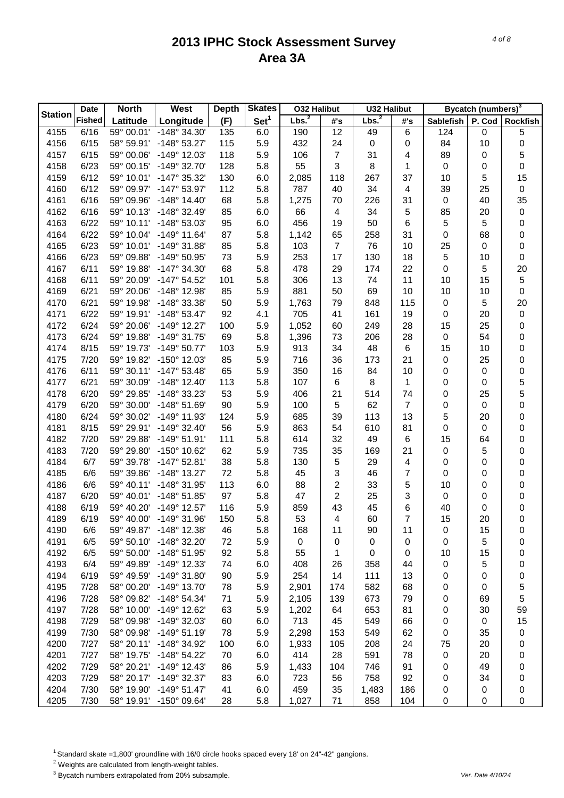|                | <b>Date</b>   | <b>North</b> | West                  | <b>Depth</b> | <b>Skates</b>    | <b>032 Halibut</b> |                | <b>U32 Halibut</b> |                |           | <b>Bycatch (numbers)</b> <sup>3</sup> |                  |
|----------------|---------------|--------------|-----------------------|--------------|------------------|--------------------|----------------|--------------------|----------------|-----------|---------------------------------------|------------------|
| <b>Station</b> | <b>Fished</b> | Latitude     | Longitude             | (F)          | Set <sup>1</sup> | Lbs. <sup>2</sup>  | #'s            | Lbs. <sup>2</sup>  | #'s            | Sablefish | P. Cod                                | Rockfish         |
| 4155           | 6/16          | 59° 00.01'   | -148° 34.30'          | 135          | 6.0              | 190                | 12             | 49                 | 6              | 124       | 0                                     | 5                |
| 4156           | 6/15          | 58° 59.91'   | $-148°53.27'$         | 115          | 5.9              | 432                | 24             | $\boldsymbol{0}$   | 0              | 84        | 10                                    | $\pmb{0}$        |
| 4157           | 6/15          | 59° 00.06'   | $-149°$ 12.03'        | 118          | 5.9              | 106                | 7              | 31                 | 4              | 89        | 0                                     | 5                |
| 4158           | 6/23          | 59° 00.15'   | $-149°32.70'$         | 128          | 5.8              | 55                 | 3              | 8                  | 1              | $\pmb{0}$ | 0                                     | 0                |
| 4159           | 6/12          | 59° 10.01'   | $-147°35.32'$         | 130          | 6.0              | 2,085              | 118            | 267                | 37             | 10        | 5                                     | 15               |
| 4160           | 6/12          | 59° 09.97'   | -147° 53.97'          | 112          | 5.8              | 787                | 40             | 34                 | 4              | 39        | 25                                    | $\boldsymbol{0}$ |
| 4161           | 6/16          | 59° 09.96'   | $-148°$ 14.40         | 68           | 5.8              | 1,275              | 70             | 226                | 31             | $\pmb{0}$ | 40                                    | 35               |
| 4162           | 6/16          | 59° 10.13'   | $-148°32.49'$         | 85           | 6.0              | 66                 | 4              | 34                 | 5              | 85        | 20                                    | $\pmb{0}$        |
| 4163           | 6/22          | 59° 10.11'   | -148° 53.03'          | 95           | 6.0              | 456                | 19             | 50                 | 6              | 5         | 5                                     | 0                |
| 4164           | 6/22          | 59° 10.04'   | $-149°$ 11.64'        | 87           | 5.8              | 1,142              | 65             | 258                | 31             | 0         | 68                                    | 0                |
| 4165           | 6/23          | 59° 10.01'   | $-149°31.88'$         | 85           | 5.8              | 103                | $\overline{7}$ | 76                 | 10             | 25        | 0                                     | 0                |
| 4166           | 6/23          | 59° 09.88'   | $-149°50.95'$         | 73           | 5.9              | 253                | 17             | 130                | 18             | 5         | 10                                    | $\boldsymbol{0}$ |
| 4167           | 6/11          | 59° 19.88'   | $-147°34.30'$         | 68           | 5.8              | 478                | 29             | 174                | 22             | 0         | 5                                     | 20               |
| 4168           | 6/11          | 59° 20.09'   | $-147^{\circ} 54.52'$ | 101          | 5.8              | 306                | 13             | 74                 | 11             | 10        | 15                                    | $\mathbf 5$      |
| 4169           | 6/21          | 59° 20.06'   | -148° 12.98'          | 85           | 5.9              | 881                | 50             | 69                 | 10             | 10        | 10                                    | $\boldsymbol{0}$ |
| 4170           | 6/21          | 59° 19.98'   | -148° 33.38'          | 50           | 5.9              | 1,763              | 79             | 848                | 115            | $\pmb{0}$ | 5                                     | 20               |
| 4171           | 6/22          | 59° 19.91'   | $-148°53.47'$         | 92           | 4.1              | 705                | 41             | 161                | 19             | 0         | 20                                    | $\pmb{0}$        |
| 4172           | 6/24          | 59° 20.06'   | $-149^{\circ}$ 12.27  | 100          | 5.9              | 1,052              | 60             | 249                | 28             | 15        | 25                                    | 0                |
| 4173           | 6/24          | 59° 19.88'   | $-149°31.75'$         | 69           | 5.8              | 1,396              | 73             | 206                | 28             | $\pmb{0}$ | 54                                    | 0                |
| 4174           | 8/15          | 59° 19.73'   | $-149°$ 50.77         | 103          | 5.9              | 913                | 34             | 48                 | 6              | 15        | 10                                    | 0                |
| 4175           | 7/20          | 59° 19.82'   | $-150^{\circ}$ 12.03' | 85           | 5.9              | 716                | 36             | 173                | 21             | 0         | 25                                    | 0                |
| 4176           | 6/11          | 59° 30.11'   | $-147^{\circ}$ 53.48' | 65           | 5.9              | 350                | 16             | 84                 | 10             | 0         | 0                                     | 0                |
| 4177           | 6/21          | 59° 30.09'   | $-148°$ 12.40         | 113          | 5.8              | 107                | 6              | 8                  | 1              | 0         | 0                                     | 5                |
| 4178           | 6/20          | 59° 29.85'   | -148° 33.23'          | 53           | 5.9              | 406                | 21             | 514                | 74             | 0         | 25                                    | 5                |
| 4179           | 6/20          | 59° 30.00'   | $-148°51.69'$         | 90           | 5.9              | 100                | 5              | 62                 | $\overline{7}$ | 0         | 0                                     | 0                |
| 4180           | 6/24          | 59° 30.02'   | $-149°$ 11.93         | 124          | 5.9              | 685                | 39             | 113                | 13             | 5         | 20                                    | 0                |
| 4181           | 8/15          | 59° 29.91'   | $-149^{\circ}$ 32.40  | 56           | 5.9              | 863                | 54             | 610                | 81             | 0         | 0                                     | 0                |
| 4182           | 7/20          | 59° 29.88'   | $-149°51.91'$         | 111          | 5.8              | 614                | 32             | 49                 | 6              | 15        | 64                                    | 0                |
| 4183           | 7/20          | 59° 29.80'   | $-150^{\circ}$ 10.62  | 62           | 5.9              | 735                | 35             | 169                | 21             | $\pmb{0}$ | 5                                     | 0                |
| 4184           | 6/7           | 59° 39.78'   | $-147^{\circ}$ 52.81  | 38           | 5.8              | 130                | 5              | 29                 | 4              | 0         | 0                                     | 0                |
| 4185           | 6/6           | 59° 39.86'   | $-148°$ 13.27         | 72           | 5.8              | 45                 | 3              | 46                 | 7              | 0         | 0                                     | 0                |
| 4186           | 6/6           | 59° 40.11'   | -148° 31.95'          | 113          | 6.0              | 88                 | 2              | 33                 | 5              | 10        | 0                                     | 0                |
| 4187           | 6/20          | 59° 40.01'   | $-148°51.85'$         | 97           | 5.8              | 47                 | 2              | 25                 | 3              | $\pmb{0}$ | 0                                     | 0                |
| 4188           | 6/19          | 59° 40.20'   | $-149°$ 12.57         | 116          | 5.9              | 859                | 43             | 45                 | 6              | 40        | 0                                     | 0                |
| 4189           | 6/19          | 59° 40.00'   | $-149°31.96'$         | 150          | 5.8              | 53                 | 4              | 60                 | 7              | 15        | 20                                    | 0                |
| 4190           | 6/6           | 59° 49.87'   | $-148^\circ$ 12.38    | 46           | 5.8              | 168                | 11             | 90                 | 11             | 0         | 15                                    | 0                |
| 4191           | 6/5           | 59° 50.10'   | $-148°32.20'$         | 72           | 5.9              | 0                  | 0              | 0                  | 0              | 0         | 5                                     | 0                |
| 4192           | 6/5           | 59° 50.00'   | $-148°51.95'$         | 92           | 5.8              | 55                 | 1              | 0                  | 0              | 10        | 15                                    | 0                |
| 4193           | 6/4           | 59° 49.89'   | $-149°$ 12.33'        | 74           | 6.0              | 408                | 26             | 358                | 44             | 0         | 5                                     | 0                |
| 4194           | 6/19          | 59° 49.59'   | $-149°31.80'$         | 90           | 5.9              | 254                | 14             | 111                | 13             | 0         | 0                                     | 0                |
| 4195           | 7/28          | 58° 00.20'   | $-149°$ 13.70'        | 78           | 5.9              | 2,901              | 174            | 582                | 68             | 0         | 0                                     | 5                |
| 4196           | 7/28          | 58° 09.82'   | $-148°54.34'$         | 71           | 5.9              | 2,105              | 139            | 673                | 79             | 0         | 69                                    | 5                |
| 4197           | 7/28          | 58° 10.00'   | -149° 12.62'          | 63           | 5.9              | 1,202              | 64             | 653                | 81             | 0         | 30                                    | 59               |
| 4198           | 7/29          | 58° 09.98'   | $-149°32.03'$         | 60           | 6.0              | 713                | 45             | 549                | 66             | 0         | $\pmb{0}$                             | 15               |
| 4199           | 7/30          | 58° 09.98'   | $-149°51.19'$         | 78           | 5.9              | 2,298              | 153            | 549                | 62             | 0         | 35                                    | 0                |
| 4200           | 7/27          | 58° 20.11'   | -148° 34.92'          | 100          | 6.0              | 1,933              | 105            | 208                | 24             | 75        | 20                                    | 0                |
| 4201           | 7/27          | 58° 19.75'   | $-148°54.22'$         | 70           | 6.0              | 414                | 28             | 591                | 78             | 0         | 20                                    | 0                |
| 4202           | 7/29          | 58° 20.21'   | $-149°$ 12.43'        | 86           | 5.9              | 1,433              | 104            | 746                | 91             | 0         | 49                                    | 0                |
| 4203           | 7/29          | 58° 20.17'   | -149° 32.37'          | 83           | 6.0              | 723                | 56             | 758                | 92             | 0         | 34                                    | 0                |
| 4204           | 7/30          | 58° 19.90'   | $-149°51.47'$         | 41           | 6.0              | 459                | 35             | 1,483              | 186            | 0         | 0                                     | 0                |
| 4205           | 7/30          | 58° 19.91'   | $-150^{\circ}$ 09.64' | 28           | 5.8              | 1,027              | 71             | 858                | 104            | 0         | 0                                     | 0                |

<sup>1</sup> Standard skate =1,800' groundline with 16/0 circle hooks spaced every 18' on 24"-42" gangions.

2 Weights are calculated from length-weight tables.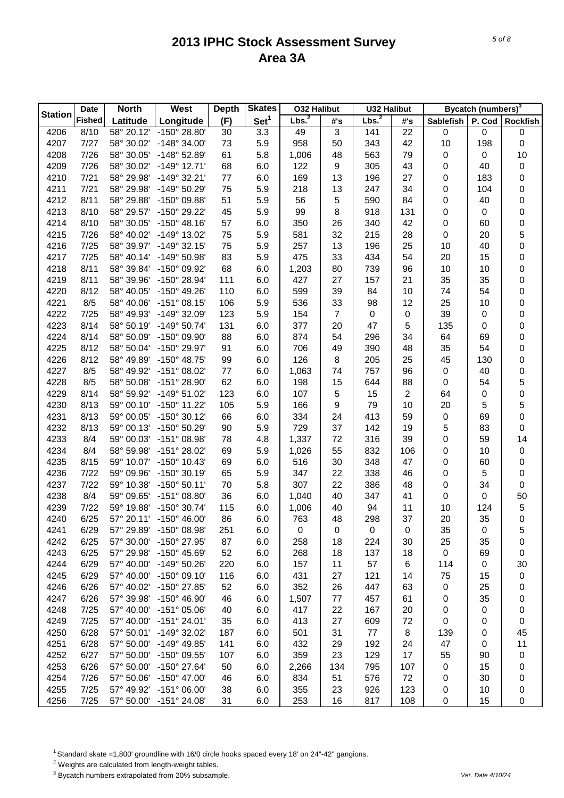|                | <b>Date</b>   | <b>North</b>             | West                    | <b>Depth</b> | <b>Skates</b>    | <b>032 Halibut</b> |                | <b>U32 Halibut</b> |            |             | Bycatch (numbers) <sup>3</sup> |                  |
|----------------|---------------|--------------------------|-------------------------|--------------|------------------|--------------------|----------------|--------------------|------------|-------------|--------------------------------|------------------|
| <b>Station</b> | <b>Fished</b> | Latitude                 | Longitude               | (F)          | Set <sup>1</sup> | Lbs. <sup>2</sup>  | #'s            | Lbs. <sup>2</sup>  | #'s        | Sablefish   | P. Cod                         | <b>Rockfish</b>  |
| 4206           | 8/10          | 58° 20.12'               | -150° 28.80'            | 30           | 3.3              | 49                 | 3              | 141                | 22         | 0           | 0                              | 0                |
| 4207           | 7/27          | 58° 30.02'               | $-148^\circ$ 34.00      | 73           | 5.9              | 958                | 50             | 343                | 42         | 10          | 198                            | $\boldsymbol{0}$ |
| 4208           | 7/26          | 58° 30.05'               | -148° 52.89'            | 61           | 5.8              | 1,006              | 48             | 563                | 79         | 0           | 0                              | 10               |
| 4209           | 7/26          | 58° 30.02'               | $-149°$ 12.71'          | 68           | 6.0              | 122                | 9              | 305                | 43         | 0           | 40                             | $\pmb{0}$        |
| 4210           | 7/21          | 58° 29.98'               | $-149°32.21'$           | 77           | 6.0              | 169                | 13             | 196                | 27         | 0           | 183                            | 0                |
| 4211           | 7/21          | 58° 29.98'               | -149° 50.29'            | 75           | 5.9              | 218                | 13             | 247                | 34         | 0           | 104                            | 0                |
| 4212           | 8/11          | 58° 29.88'               | -150° 09.88'            | 51           | 5.9              | 56                 | 5              | 590                | 84         | 0           | 40                             | 0                |
| 4213           | 8/10          | 58° 29.57'               | -150° 29.22'            | 45           | 5.9              | 99                 | 8              | 918                | 131        | 0           | 0                              | 0                |
| 4214           | 8/10          | 58° 30.05'               | $-150^{\circ}$ 48.16'   | 57           | 6.0              | 350                | 26             | 340                | 42         | 0           | 60                             | $\mathbf 0$      |
| 4215           | 7/26          | 58° 40.02'               | -149° 13.02'            | 75           | 5.9              | 581                | 32             | 215                | 28         | 0           | 20                             | 5                |
| 4216           | 7/25          | 58° 39.97'               | $-149°32.15'$           | 75           | 5.9              | 257                | 13             | 196                | 25         | 10          | 40                             | $\mathbf 0$      |
| 4217           | 7/25          | 58° 40.14'               | $-149°50.98'$           | 83           | 5.9              | 475                | 33             | 434                | 54         | 20          | 15                             | 0                |
| 4218           | 8/11          | 58° 39.84'               | -150° 09.92'            | 68           | 6.0              | 1,203              | 80             | 739                | 96         | 10          | 10                             | 0                |
| 4219           | 8/11          | 58° 39.96'               | -150° 28.94'            | 111          | 6.0              | 427                | 27             | 157                | 21         | 35          | 35                             | 0                |
| 4220           | 8/12          | 58° 40.05'               | $-150^{\circ}$ 49.26'   | 110          | 6.0              | 599                | 39             | 84                 | 10         | 74          | 54                             | 0                |
| 4221           | 8/5           | 58° 40.06'               | $-151^{\circ}$ 08.15'   | 106          | 5.9              | 536                | 33             | 98                 | 12         | 25          | 10                             | $\mathbf 0$      |
| 4222           | 7/25          | 58° 49.93'               | -149° 32.09'            | 123          | 5.9              | 154                | $\overline{7}$ | 0                  | $\pmb{0}$  | 39          | 0                              | $\mathbf 0$      |
| 4223           | 8/14          | 58° 50.19'               | $-149°$ 50.74'          | 131          | 6.0              | 377                | 20             | 47                 | $\sqrt{5}$ | 135         | 0                              | $\mathbf 0$      |
| 4224           | 8/14          | 58° 50.09'               | -150° 09.90'            | 88           | 6.0              | 874                | 54             | 296                | 34         | 64          | 69                             | $\mathbf 0$      |
| 4225           | 8/12          | 58° 50.04'               | -150° 29.97'            | 91           | 6.0              | 706                | 49             | 390                | 48         | 35          | 54                             | $\mathbf 0$      |
| 4226           | 8/12          | 58° 49.89'               | -150° 48.75'            | 99           | 6.0              | 126                | 8              | 205                | 25         | 45          | 130                            | 0                |
| 4227           | 8/5           | 58° 49.92'               | -151° 08.02'            | 77           | 6.0              | 1,063              | 74             | 757                | 96         | $\pmb{0}$   | 40                             | $\mathbf 0$      |
| 4228           | 8/5           | 58° 50.08'               | -151° 28.90'            | 62           | 6.0              | 198                | 15             | 644                | 88         | 0           | 54                             | 5                |
| 4229           | 8/14          | 58° 59.92'               | -149° 51.02'            | 123          | 6.0              | 107                | 5              | 15                 | 2          | 64          | 0                              | $\mathbf 0$      |
| 4230           | 8/13          | 59° 00.10'               | -150° 11.22'            | 105          | 5.9              | 166                | 9              | 79                 | 10         | 20          | 5                              | 5                |
| 4231           | 8/13          | 59° 00.05'               | -150° 30.12'            | 66           | 6.0              | 334                | 24             | 413                | 59         | 0           | 69                             | $\mathbf 0$      |
| 4232           | 8/13          | 59° 00.13'               | -150° 50.29'            | 90           | 5.9              | 729                | 37             | 142                | 19         | 5           | 83                             | 0                |
| 4233           | 8/4           | 59° 00.03'               | -151° 08.98'            | 78           | 4.8              | 1,337              | 72             | 316                | 39         | 0           | 59                             | 14               |
| 4234           | 8/4           | 58° 59.98'               | -151° 28.02'            | 69           | 5.9              | 1,026              | 55             | 832                | 106        |             | 10                             | $\pmb{0}$        |
| 4235           | 8/15          |                          | $-150^{\circ}$ 10.43'   |              |                  |                    |                |                    |            | 0           |                                |                  |
| 4236           | 7/22          | 59° 10.07'<br>59° 09.96' | $-150^{\circ}$ 30.19'   | 69           | 6.0              | 516                | 30             | 348<br>338         | 47         | 0           | 60                             | 0                |
|                | 7/22          |                          | $-150^{\circ} 50.11'$   | 65           | 5.9              | 347                | 22             |                    | 46         | 0           | 5<br>34                        | 0                |
| 4237           |               | 59° 10.38'               | $-151^{\circ}$ 08.80'   | 70           | 5.8              | 307                | 22             | 386                | 48         | 0           |                                | $\boldsymbol{0}$ |
| 4238           | 8/4           | 59° 09.65'               |                         | 36           | 6.0              | 1,040              | 40             | 347                | 41         | 0           | 0                              | 50               |
| 4239           | 7/22          | 59° 19.88'               | $-150^{\circ}$ 30.74'   | 115          | 6.0              | 1,006              | 40             | 94                 | 11         | 10          | 124                            | $\mathbf 5$      |
| 4240           | 6/25          |                          | 57° 20.11' -150° 46.00' | 86           | 6.0              | 763                | 48             | 298                | 37         | 20          | 35                             | $\mathbf 0$      |
| 4241           | 6/29          | 57° 29.89'               | -150° 08.98'            | 251          | 6.0              | 0                  | 0              | 0                  | 0          | 35          | 0                              | 5                |
| 4242           | 6/25          | 57° 30.00'               | -150° 27.95'            | 87           | 6.0              | 258                | 18             | 224                | 30         | 25          | 35                             | 0                |
| 4243           | 6/25          | 57° 29.98'               | $-150^{\circ}$ 45.69    | 52           | 6.0              | 268                | 18             | 137                | 18         | $\pmb{0}$   | 69                             | 0                |
| 4244           | 6/29          | 57° 40.00'               | $-149°50.26'$           | 220          | 6.0              | 157                | 11             | 57                 | 6          | 114         | 0                              | 30               |
| 4245           | 6/29          | 57° 40.00'               | $-150^{\circ}$ 09.10    | 116          | 6.0              | 431                | 27             | 121                | 14         | 75          | 15                             | 0                |
| 4246           | 6/26          | 57° 40.02'               | $-150^{\circ}$ 27.85    | 52           | 6.0              | 352                | 26             | 447                | 63         | 0           | 25                             | 0                |
| 4247           | 6/26          | 57° 39.98'               | $-150^{\circ}$ 46.90    | 46           | 6.0              | 1,507              | 77             | 457                | 61         | 0           | 35                             | 0                |
| 4248           | 7/25          | 57° 40.00'               | $-151^{\circ}$ 05.06'   | 40           | 6.0              | 417                | 22             | 167                | 20         | 0           | 0                              | 0                |
| 4249           | 7/25          | 57° 40.00'               | $-151^{\circ} 24.01'$   | 35           | 6.0              | 413                | 27             | 609                | 72         | 0           | 0                              | 0                |
| 4250           | 6/28          | 57° 50.01'               | -149° 32.02'            | 187          | 6.0              | 501                | 31             | 77                 | 8          | 139         | 0                              | 45               |
| 4251           | 6/28          | 57° 50.00'               | $-149^{\circ}$ 49.85'   | 141          | 6.0              | 432                | 29             | 192                | 24         | 47          | 0                              | 11               |
| 4252           | 6/27          | 57° 50.00'               | $-150^{\circ}$ 09.55'   | 107          | 6.0              | 359                | 23             | 129                | 17         | 55          | 90                             | $\pmb{0}$        |
| 4253           | 6/26          | 57° 50.00'               | $-150^{\circ}$ 27.64'   | 50           | 6.0              | 2,266              | 134            | 795                | 107        | 0           | 15                             | 0                |
| 4254           | 7/26          | 57° 50.06'               | $-150^{\circ}$ 47.00    | 46           | 6.0              | 834                | 51             | 576                | 72         | 0           | 30                             | 0                |
| 4255           | 7/25          | 57° 49.92'               | $-151^{\circ}$ 06.00    | 38           | 6.0              | 355                | 23             | 926                | 123        | 0           | 10                             | 0                |
| 4256           | 7/25          |                          | 57° 50.00' -151° 24.08' | 31           | 6.0              | 253                | 16             | 817                | 108        | $\mathbf 0$ | 15                             | 0                |

<sup>1</sup> Standard skate =1,800' groundline with 16/0 circle hooks spaced every 18' on 24"-42" gangions.

2 Weights are calculated from length-weight tables.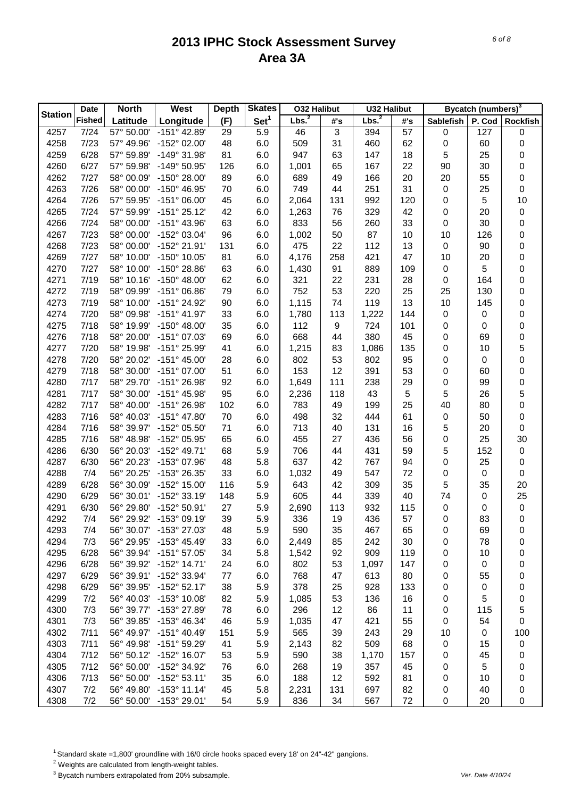|                | <b>Date</b>   | <b>North</b> | West                    | <b>Depth</b> | <b>Skates</b>    | <b>032 Halibut</b> |     | <b>U32 Halibut</b> |            |                  | Bycatch (numbers) <sup>3</sup> |                  |
|----------------|---------------|--------------|-------------------------|--------------|------------------|--------------------|-----|--------------------|------------|------------------|--------------------------------|------------------|
| <b>Station</b> | <b>Fished</b> | Latitude     | Longitude               | (F)          | Set <sup>1</sup> | Lbs. <sup>2</sup>  | #'s | Lbs. <sup>2</sup>  | #'s        | Sablefish        | P. Cod                         | Rockfish         |
| 4257           | 7/24          | 57° 50.00'   | $-151^{\circ}$ 42.89    | 29           | 5.9              | 46                 | 3   | 394                | 57         | 0                | 127                            | 0                |
| 4258           | 7/23          | 57° 49.96'   | -152° 02.00'            | 48           | 6.0              | 509                | 31  | 460                | 62         | $\pmb{0}$        | 60                             | 0                |
| 4259           | 6/28          | 57° 59.89'   | -149° 31.98'            | 81           | 6.0              | 947                | 63  | 147                | 18         | 5                | 25                             | 0                |
| 4260           | 6/27          | 57° 59.98'   | -149° 50.95'            | 126          | 6.0              | 1,001              | 65  | 167                | 22         | 90               | 30                             | 0                |
| 4262           | 7/27          | 58° 00.09'   | -150° 28.00'            | 89           | 6.0              | 689                | 49  | 166                | 20         | 20               | 55                             | 0                |
| 4263           | 7/26          | 58° 00.00'   | -150° 46.95'            | 70           | 6.0              | 749                | 44  | 251                | 31         | 0                | 25                             | 0                |
| 4264           | 7/26          | 57° 59.95'   | $-151^{\circ}$ 06.00'   | 45           | 6.0              | 2,064              | 131 | 992                | 120        | 0                | 5                              | 10               |
| 4265           | 7/24          | 57° 59.99'   | $-151^{\circ} 25.12'$   | 42           | 6.0              | 1,263              | 76  | 329                | 42         | 0                | 20                             | $\pmb{0}$        |
| 4266           | 7/24          | 58° 00.00'   | -151° 43.96'            | 63           | 6.0              | 833                | 56  | 260                | 33         | 0                | 30                             | 0                |
| 4267           | 7/23          | 58° 00.00'   | -152° 03.04'            | 96           | 6.0              | 1,002              | 50  | 87                 | 10         | 10               | 126                            | 0                |
| 4268           | 7/23          | 58° 00.00'   | -152° 21.91'            | 131          | 6.0              | 475                | 22  | 112                | 13         | $\boldsymbol{0}$ | 90                             | 0                |
| 4269           | 7/27          | 58° 10.00'   | -150° 10.05'            | 81           | 6.0              | 4,176              | 258 | 421                | 47         | 10               | 20                             | 0                |
| 4270           | 7/27          | 58° 10.00'   | -150° 28.86'            | 63           | 6.0              | 1,430              | 91  | 889                | 109        | 0                | 5                              | 0                |
| 4271           | 7/19          | 58° 10.16'   | $-150^{\circ}$ 48.00'   | 62           | 6.0              | 321                | 22  | 231                | 28         | 0                | 164                            | 0                |
| 4272           | 7/19          | 58° 09.99'   | $-151^{\circ}$ 06.86'   | 79           | 6.0              | 752                | 53  | 220                | 25         | 25               | 130                            | 0                |
| 4273           | 7/19          | 58° 10.00'   | -151° 24.92'            | 90           | 6.0              | 1,115              | 74  | 119                | 13         | 10               | 145                            | 0                |
| 4274           | 7/20          | 58° 09.98'   | $-151^{\circ}$ 41.97'   | 33           | 6.0              | 1,780              | 113 | 1,222              | 144        | 0                | 0                              | 0                |
| 4275           | 7/18          | 58° 19.99'   | $-150^{\circ}$ 48.00'   | 35           | 6.0              | 112                | 9   | 724                | 101        |                  | 0                              | 0                |
| 4276           | 7/18          | 58° 20.00'   | -151° 07.03'            | 69           | 6.0              | 668                | 44  | 380                | 45         | 0<br>0           | 69                             | $\mathbf 0$      |
| 4277           | 7/20          |              | -151° 25.99'            | 41           | 6.0              |                    | 83  |                    | 135        |                  | 10                             |                  |
|                |               | 58° 19.98'   | $-151^{\circ}$ 45.00'   |              |                  | 1,215              |     | 1,086              |            | 0                |                                | 5                |
| 4278           | 7/20          | 58° 20.02'   |                         | 28           | 6.0              | 802                | 53  | 802                | 95         | 0                | 0                              | $\mathbf 0$      |
| 4279           | 7/18          | 58° 30.00'   | $-151^{\circ}$ 07.00    | 51           | 6.0              | 153                | 12  | 391                | 53         | 0                | 60                             | 0                |
| 4280           | 7/17          | 58° 29.70'   | -151° 26.98'            | 92           | 6.0              | 1,649              | 111 | 238                | 29         | 0                | 99                             | $\mathbf 0$      |
| 4281           | 7/17          | 58° 30.00'   | -151° 45.98'            | 95           | 6.0              | 2,236              | 118 | 43                 | $\sqrt{5}$ | 5                | 26                             | 5                |
| 4282           | 7/17          | 58° 40.00'   | -151° 26.98'            | 102          | 6.0              | 783                | 49  | 199                | 25         | 40               | 80                             | $\mathbf 0$      |
| 4283           | 7/16          | 58° 40.03'   | -151° 47.80'            | 70           | 6.0              | 498                | 32  | 444                | 61         | 0                | 50                             | 0                |
| 4284           | 7/16          | 58° 39.97'   | -152° 05.50'            | 71           | 6.0              | 713                | 40  | 131                | 16         | 5                | 20                             | $\boldsymbol{0}$ |
| 4285           | 7/16          | 58° 48.98'   | -152° 05.95'            | 65           | 6.0              | 455                | 27  | 436                | 56         | 0                | 25                             | 30               |
| 4286           | 6/30          | 56° 20.03'   | -152° 49.71'            | 68           | 5.9              | 706                | 44  | 431                | 59         | 5                | 152                            | $\pmb{0}$        |
| 4287           | 6/30          | 56° 20.23'   | -153° 07.96'            | 48           | 5.8              | 637                | 42  | 767                | 94         | 0                | 25                             | $\boldsymbol{0}$ |
| 4288           | 7/4           | 56° 20.25'   | -153° 26.35'            | 33           | 6.0              | 1,032              | 49  | 547                | 72         | 0                | 0                              | $\boldsymbol{0}$ |
| 4289           | 6/28          | 56° 30.09'   | -152° 15.00'            | 116          | 5.9              | 643                | 42  | 309                | 35         | 5                | 35                             | 20               |
| 4290           | 6/29          | 56° 30.01'   | -152° 33.19'            | 148          | 5.9              | 605                | 44  | 339                | 40         | 74               | 0                              | 25               |
| 4291           | 6/30          | 56° 29.80'   | -152° 50.91'            | 27           | 5.9              | 2,690              | 113 | 932                | 115        | 0                | 0                              | $\pmb{0}$        |
| 4292           | 7/4           |              | 56° 29.92' -153° 09.19' | 39           | 5.9              | 336                | 19  | 436                | 57         | 0                | 83                             | $\boldsymbol{0}$ |
| 4293           | 7/4           | 56° 30.07'   | -153° 27.03'            | 48           | 5.9              | 590                | 35  | 467                | 65         | 0                | 69                             | 0                |
| 4294           | 7/3           | 56° 29.95'   | $-153^{\circ}$ 45.49    | 33           | 6.0              | 2,449              | 85  | 242                | 30         | 0                | 78                             | 0                |
| 4295           | 6/28          | 56° 39.94'   | $-151^{\circ}57.05'$    | 34           | 5.8              | 1,542              | 92  | 909                | 119        | 0                | 10                             | 0                |
| 4296           | 6/28          | 56° 39.92'   | $-152^{\circ}$ 14.71'   | 24           | 6.0              | 802                | 53  | 1,097              | 147        | 0                | 0                              | 0                |
| 4297           | 6/29          | 56° 39.91'   | -152° 33.94'            | 77           | 6.0              | 768                | 47  | 613                | 80         | 0                | 55                             | 0                |
| 4298           | 6/29          | 56° 39.95'   | $-152^{\circ}52.17'$    | 38           | 5.9              | 378                | 25  | 928                | 133        | 0                | 0                              | 0                |
| 4299           | 7/2           | 56° 40.03'   | -153° 10.08'            | 82           | 5.9              | 1,085              | 53  | 136                | 16         | 0                | 5                              | 0                |
| 4300           | 7/3           | 56° 39.77'   | -153° 27.89'            | 78           | 6.0              | 296                | 12  | 86                 | 11         | 0                | 115                            | 5                |
| 4301           | 7/3           | 56° 39.85'   | -153° 46.34'            | 46           | 5.9              | 1,035              | 47  | 421                | 55         | 0                | 54                             | 0                |
| 4302           | 7/11          | 56° 49.97'   | $-151^{\circ}$ 40.49    | 151          | 5.9              | 565                | 39  | 243                | 29         | 10               | 0                              | 100              |
| 4303           | 7/11          | 56° 49.98'   | -151° 59.29'            | 41           | 5.9              | 2,143              | 82  | 509                | 68         | 0                | 15                             | $\pmb{0}$        |
| 4304           | 7/12          | 56° 50.12'   | -152° 16.07'            | 53           | 5.9              | 590                | 38  | 1,170              | 157        | 0                | 45                             | 0                |
| 4305           | 7/12          | 56° 50.00'   | -152° 34.92'            | 76           | 6.0              | 268                | 19  | 357                | 45         | 0                | 5                              | 0                |
| 4306           | 7/13          | 56° 50.00'   | $-152^{\circ}53.11'$    | 35           | 6.0              | 188                | 12  | 592                | 81         | 0                | 10                             | 0                |
| 4307           | 7/2           | 56° 49.80'   | $-153^{\circ}$ 11.14'   | 45           | 5.8              | 2,231              | 131 | 697                | 82         | 0                | 40                             | 0                |
| 4308           | 7/2           |              | 56° 50.00' -153° 29.01' | 54           | 5.9              | 836                | 34  | 567                | 72         | $\mathbf 0$      | 20                             | 0                |

<sup>1</sup> Standard skate =1,800' groundline with 16/0 circle hooks spaced every 18' on 24"-42" gangions.

2 Weights are calculated from length-weight tables.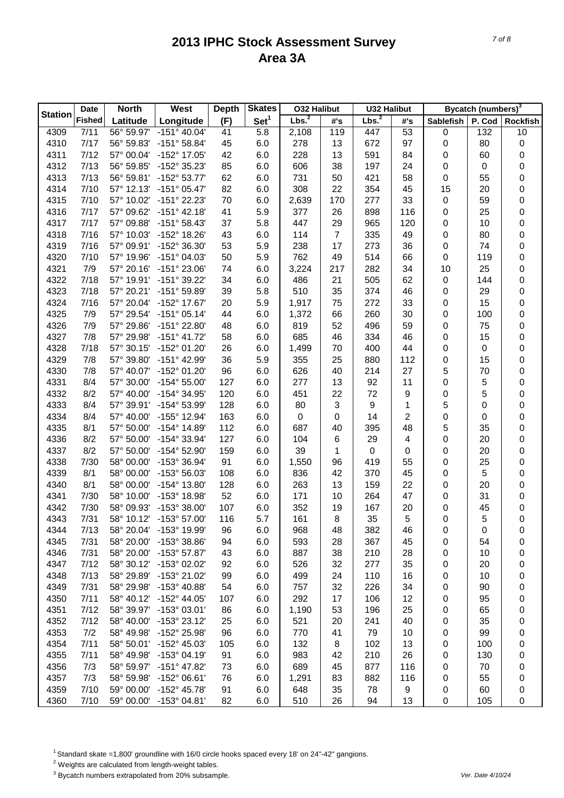|                | <b>Date</b>   | <b>North</b> | West                    | <b>Depth</b> | <b>Skates</b>    | <b>032 Halibut</b> |                | <b>U32 Halibut</b> |     |                  | Bycatch (numbers) <sup>3</sup> |                  |
|----------------|---------------|--------------|-------------------------|--------------|------------------|--------------------|----------------|--------------------|-----|------------------|--------------------------------|------------------|
| <b>Station</b> | <b>Fished</b> | Latitude     | Longitude               | (F)          | Set <sup>1</sup> | Lbs. <sup>2</sup>  | #'s            | Lbs. <sup>2</sup>  | #'s | <b>Sablefish</b> | P. Cod                         | <b>Rockfish</b>  |
| 4309           | 7/11          | 56° 59.97'   | $-151°$ 40.04           | 41           | 5.8              | 2,108              | 119            | 447                | 53  | 0                | 132                            | 10               |
| 4310           | 7/17          | 56° 59.83'   | $-151^{\circ}58.84'$    | 45           | 6.0              | 278                | 13             | 672                | 97  | 0                | 80                             | $\pmb{0}$        |
| 4311           | 7/12          | 57° 00.04'   | -152° 17.05'            | 42           | 6.0              | 228                | 13             | 591                | 84  | 0                | 60                             | 0                |
| 4312           | 7/13          | 56° 59.85'   | -152° 35.23'            | 85           | 6.0              | 606                | 38             | 197                | 24  | 0                | 0                              | 0                |
| 4313           | 7/13          | 56° 59.81'   | -152° 53.77'            | 62           | 6.0              | 731                | 50             | 421                | 58  | 0                | 55                             | 0                |
| 4314           | 7/10          | 57° 12.13'   | $-151^{\circ}$ 05.47'   | 82           | 6.0              | 308                | 22             | 354                | 45  | 15               | 20                             | 0                |
| 4315           | 7/10          | 57° 10.02'   | -151° 22.23'            | 70           | 6.0              | 2,639              | 170            | 277                | 33  | 0                | 59                             | 0                |
| 4316           | 7/17          | 57° 09.62'   | $-151^{\circ}$ 42.18'   | 41           | 5.9              | 377                | 26             | 898                | 116 | 0                | 25                             | 0                |
| 4317           | 7/17          | 57° 09.88'   | $-151^{\circ}58.43'$    | 37           | 5.8              | 447                | 29             | 965                | 120 | 0                | 10                             | 0                |
| 4318           | 7/16          | 57° 10.03'   | -152° 18.26'            | 43           | 6.0              | 114                | $\overline{7}$ | 335                | 49  | 0                | 80                             | 0                |
| 4319           | 7/16          | 57° 09.91'   | -152° 36.30'            | 53           | 5.9              | 238                | 17             | 273                | 36  | 0                | 74                             | 0                |
| 4320           | 7/10          | 57° 19.96'   | $-151^{\circ}$ 04.03'   | 50           | 5.9              | 762                | 49             | 514                | 66  | 0                | 119                            | 0                |
| 4321           | 7/9           | 57° 20.16'   | $-151^{\circ} 23.06'$   | 74           | 6.0              | 3,224              | 217            | 282                | 34  | 10               | 25                             | 0                |
| 4322           | 7/18          | 57° 19.91'   | -151° 39.22'            | 34           | 6.0              | 486                | 21             | 505                | 62  | 0                | 144                            | 0                |
| 4323           | 7/18          | 57° 20.21'   | $-151^{\circ}59.89'$    | 39           | 5.8              | 510                | 35             | 374                | 46  | 0                | 29                             | 0                |
| 4324           | 7/16          | 57° 20.04'   | -152° 17.67'            | 20           | 5.9              | 1,917              | 75             | 272                | 33  | 0                | 15                             | 0                |
| 4325           | 7/9           | 57° 29.54'   | $-151^{\circ}$ 05.14'   | 44           | 6.0              | 1,372              | 66             | 260                | 30  | 0                | 100                            | 0                |
| 4326           | 7/9           | 57° 29.86'   | -151° 22.80'            | 48           | 6.0              | 819                | 52             | 496                | 59  | 0                | 75                             | 0                |
| 4327           | 7/8           | 57° 29.98'   | $-151^{\circ}$ 41.72    | 58           | 6.0              | 685                | 46             | 334                | 46  | 0                | 15                             | 0                |
| 4328           | 7/18          | 57° 30.15'   | -152° 01.20'            | 26           | 6.0              | 1,499              | 70             | 400                | 44  | 0                | 0                              | 0                |
| 4329           | 7/8           | 57° 39.80'   | -151° 42.99'            | 36           | 5.9              | 355                | 25             | 880                | 112 | 0                | 15                             | 0                |
| 4330           | 7/8           | 57° 40.07'   | -152° 01.20'            | 96           | 6.0              | 626                | 40             | 214                | 27  | 5                | 70                             | 0                |
| 4331           | 8/4           | 57° 30.00'   | $-154^{\circ} 55.00'$   | 127          | 6.0              | 277                | 13             | 92                 | 11  | 0                | 5                              | 0                |
| 4332           | 8/2           | 57° 40.00'   | -154° 34.95'            | 120          | 6.0              | 451                | 22             | 72                 | 9   | 0                | 5                              | 0                |
| 4333           | 8/4           | 57° 39.91'   | -154° 53.99'            | 128          | 6.0              | 80                 | 3              | 9                  | 1   | 5                | 0                              | 0                |
| 4334           | 8/4           | 57° 40.00'   | -155° 12.94'            | 163          | 6.0              | $\boldsymbol{0}$   | 0              | 14                 | 2   | 0                | 0                              | 0                |
| 4335           | 8/1           | 57° 50.00'   | -154° 14.89'            | 112          | 6.0              | 687                | 40             | 395                | 48  | 5                | 35                             | 0                |
| 4336           | 8/2           | 57° 50.00'   | -154° 33.94'            | 127          | 6.0              | 104                | 6              | 29                 | 4   | 0                | 20                             | 0                |
| 4337           | 8/2           | 57° 50.00'   | -154° 52.90'            | 159          | 6.0              | 39                 | 1              | $\boldsymbol{0}$   | 0   | 0                | 20                             | 0                |
| 4338           | 7/30          | 58° 00.00'   | -153° 36.94'            | 91           | 6.0              | 1,550              | 96             | 419                | 55  | 0                | 25                             | 0                |
| 4339           | 8/1           | 58° 00.00'   | -153° 56.03'            | 108          | 6.0              | 836                | 42             | 370                | 45  | 0                | 5                              | 0                |
| 4340           | 8/1           | 58° 00.00'   | -154° 13.80'            | 128          | 6.0              | 263                | 13             | 159                | 22  | 0                | 20                             | 0                |
| 4341           | 7/30          | 58° 10.00'   | -153° 18.98'            | 52           | 6.0              | 171                | 10             | 264                | 47  | 0                | 31                             | 0                |
| 4342           | 7/30          | 58° 09.93'   | -153° 38.00'            | 107          | 6.0              | 352                | 19             | 167                | 20  | 0                | 45                             | 0                |
| 4343           | 7/31          |              | 58° 10.12' -153° 57.00' | 116          | 5.7              | 161                | 8              | 35                 | 5   | 0                | 5                              | $\boldsymbol{0}$ |
| 4344           | 7/13          | 58° 20.04'   | -153° 19.99             | 96           | 6.0              | 968                | 48             | 382                | 46  | 0                | 0                              | 0                |
| 4345           | 7/31          | 58° 20.00'   | -153° 38.86'            | 94           | 6.0              | 593                | 28             | 367                | 45  | 0                | 54                             | 0                |
| 4346           | 7/31          | 58° 20.00'   | -153° 57.87'            | 43           | 6.0              | 887                | 38             | 210                | 28  | 0                | 10                             | 0                |
| 4347           | 7/12          | 58° 30.12'   | -153° 02.02'            | 92           | 6.0              | 526                | 32             | 277                | 35  | 0                | 20                             | 0                |
| 4348           | 7/13          | 58° 29.89'   | -153° 21.02'            | 99           | 6.0              | 499                | 24             | 110                | 16  | 0                | 10                             | 0                |
| 4349           | 7/31          | 58° 29.98'   | $-153^{\circ}$ 40.88'   | 54           | 6.0              | 757                | 32             | 226                | 34  | 0                | 90                             | 0                |
| 4350           | 7/11          | 58° 40.12'   | $-152^{\circ}$ 44.05'   | 107          | 6.0              | 292                | 17             | 106                | 12  | 0                | 95                             | 0                |
| 4351           | 7/12          | 58° 39.97'   | -153° 03.01'            | 86           | 6.0              | 1,190              | 53             | 196                | 25  | 0                | 65                             | 0                |
| 4352           | 7/12          | 58° 40.00'   | -153° 23.12'            | 25           | 6.0              | 521                | 20             | 241                | 40  | 0                | 35                             | 0                |
| 4353           | 7/2           | 58° 49.98'   | -152° 25.98'            | 96           | 6.0              | 770                | 41             | 79                 | 10  | 0                | 99                             | 0                |
| 4354           | 7/11          | 58° 50.01'   | -152° 45.03'            | 105          | 6.0              | 132                | 8              | 102                | 13  | 0                | 100                            | 0                |
| 4355           | 7/11          | 58° 49.98'   | -153° 04.19'            | 91           | 6.0              | 983                | 42             | 210                | 26  | 0                | 130                            | 0                |
| 4356           | 7/3           | 58° 59.97'   | -151° 47.82'            | 73           | 6.0              | 689                | 45             | 877                | 116 | 0                | 70                             | 0                |
| 4357           | 7/3           | 58° 59.98'   | $-152^{\circ}$ 06.61'   | 76           | 6.0              | 1,291              | 83             | 882                | 116 | 0                | 55                             | 0                |
| 4359           | 7/10          | 59° 00.00'   | $-152^{\circ}$ 45.78'   | 91           | 6.0              | 648                | 35             | 78                 | 9   | 0                | 60                             | 0                |
| 4360           | 7/10          |              | 59° 00.00' -153° 04.81' | 82           | 6.0              | 510                | 26             | 94                 | 13  | $\boldsymbol{0}$ | 105                            | 0                |
|                |               |              |                         |              |                  |                    |                |                    |     |                  |                                |                  |

<sup>1</sup> Standard skate =1,800' groundline with 16/0 circle hooks spaced every 18' on 24"-42" gangions.

2 Weights are calculated from length-weight tables.